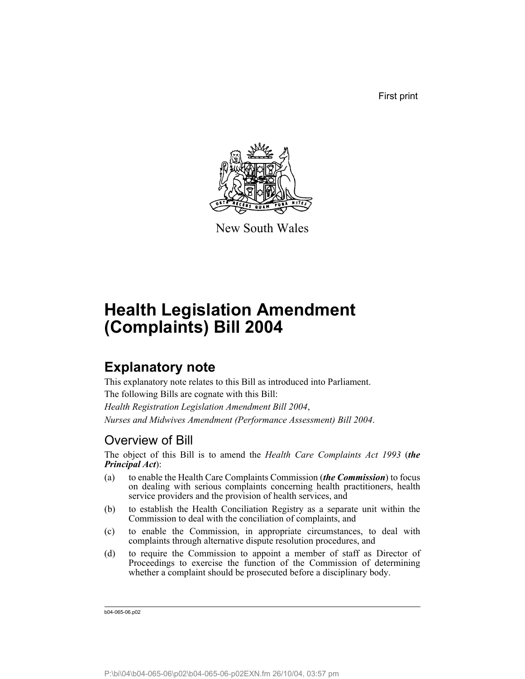First print



New South Wales

# **Health Legislation Amendment (Complaints) Bill 2004**

## **Explanatory note**

This explanatory note relates to this Bill as introduced into Parliament. The following Bills are cognate with this Bill:

*Health Registration Legislation Amendment Bill 2004*, *Nurses and Midwives Amendment (Performance Assessment) Bill 2004*.

## Overview of Bill

The object of this Bill is to amend the *Health Care Complaints Act 1993* (*the Principal Act*):

- (a) to enable the Health Care Complaints Commission (*the Commission*) to focus on dealing with serious complaints concerning health practitioners, health service providers and the provision of health services, and
- (b) to establish the Health Conciliation Registry as a separate unit within the Commission to deal with the conciliation of complaints, and
- (c) to enable the Commission, in appropriate circumstances, to deal with complaints through alternative dispute resolution procedures, and
- (d) to require the Commission to appoint a member of staff as Director of Proceedings to exercise the function of the Commission of determining whether a complaint should be prosecuted before a disciplinary body.

b04-065-06.p02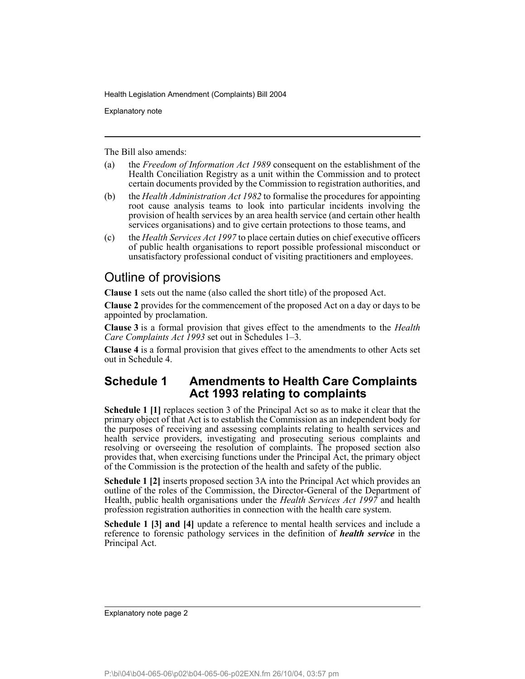Explanatory note

The Bill also amends:

- (a) the *Freedom of Information Act 1989* consequent on the establishment of the Health Conciliation Registry as a unit within the Commission and to protect certain documents provided by the Commission to registration authorities, and
- (b) the *Health Administration Act 1982* to formalise the procedures for appointing root cause analysis teams to look into particular incidents involving the provision of health services by an area health service (and certain other health services organisations) and to give certain protections to those teams, and
- (c) the *Health Services Act 1997* to place certain duties on chief executive officers of public health organisations to report possible professional misconduct or unsatisfactory professional conduct of visiting practitioners and employees.

## Outline of provisions

**Clause 1** sets out the name (also called the short title) of the proposed Act.

**Clause 2** provides for the commencement of the proposed Act on a day or days to be appointed by proclamation.

**Clause 3** is a formal provision that gives effect to the amendments to the *Health Care Complaints Act 1993* set out in Schedules 1–3.

**Clause 4** is a formal provision that gives effect to the amendments to other Acts set out in Schedule 4.

## **Schedule 1 Amendments to Health Care Complaints Act 1993 relating to complaints**

**Schedule 1 [1]** replaces section 3 of the Principal Act so as to make it clear that the primary object of that Act is to establish the Commission as an independent body for the purposes of receiving and assessing complaints relating to health services and health service providers, investigating and prosecuting serious complaints and resolving or overseeing the resolution of complaints. The proposed section also provides that, when exercising functions under the Principal Act, the primary object of the Commission is the protection of the health and safety of the public.

**Schedule 1 [2]** inserts proposed section 3A into the Principal Act which provides an outline of the roles of the Commission, the Director-General of the Department of Health, public health organisations under the *Health Services Act 1997* and health profession registration authorities in connection with the health care system.

**Schedule 1 [3] and [4]** update a reference to mental health services and include a reference to forensic pathology services in the definition of *health service* in the Principal Act.

Explanatory note page 2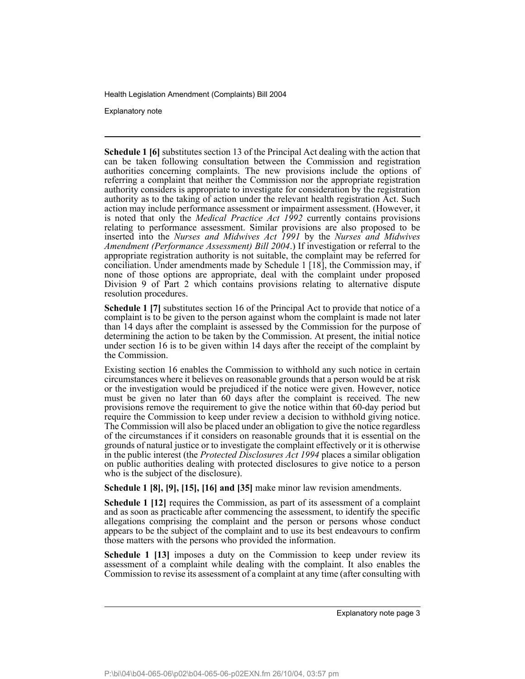Explanatory note

**Schedule 1 [6]** substitutes section 13 of the Principal Act dealing with the action that can be taken following consultation between the Commission and registration authorities concerning complaints. The new provisions include the options of referring a complaint that neither the Commission nor the appropriate registration authority considers is appropriate to investigate for consideration by the registration authority as to the taking of action under the relevant health registration Act. Such action may include performance assessment or impairment assessment. (However, it is noted that only the *Medical Practice Act 1992* currently contains provisions relating to performance assessment. Similar provisions are also proposed to be inserted into the *Nurses and Midwives Act 1991* by the *Nurses and Midwives Amendment (Performance Assessment) Bill 2004*.) If investigation or referral to the appropriate registration authority is not suitable, the complaint may be referred for conciliation. Under amendments made by Schedule 1 [18], the Commission may, if none of those options are appropriate, deal with the complaint under proposed Division 9 of Part 2 which contains provisions relating to alternative dispute resolution procedures.

**Schedule 1 [7]** substitutes section 16 of the Principal Act to provide that notice of a complaint is to be given to the person against whom the complaint is made not later than 14 days after the complaint is assessed by the Commission for the purpose of determining the action to be taken by the Commission. At present, the initial notice under section 16 is to be given within 14 days after the receipt of the complaint by the Commission.

Existing section 16 enables the Commission to withhold any such notice in certain circumstances where it believes on reasonable grounds that a person would be at risk or the investigation would be prejudiced if the notice were given. However, notice must be given no later than 60 days after the complaint is received. The new provisions remove the requirement to give the notice within that 60-day period but require the Commission to keep under review a decision to withhold giving notice. The Commission will also be placed under an obligation to give the notice regardless of the circumstances if it considers on reasonable grounds that it is essential on the grounds of natural justice or to investigate the complaint effectively or it is otherwise in the public interest (the *Protected Disclosures Act 1994* places a similar obligation on public authorities dealing with protected disclosures to give notice to a person who is the subject of the disclosure).

**Schedule 1 [8], [9], [15], [16] and [35]** make minor law revision amendments.

**Schedule 1 [12]** requires the Commission, as part of its assessment of a complaint and as soon as practicable after commencing the assessment, to identify the specific allegations comprising the complaint and the person or persons whose conduct appears to be the subject of the complaint and to use its best endeavours to confirm those matters with the persons who provided the information.

**Schedule 1 [13]** imposes a duty on the Commission to keep under review its assessment of a complaint while dealing with the complaint. It also enables the Commission to revise its assessment of a complaint at any time (after consulting with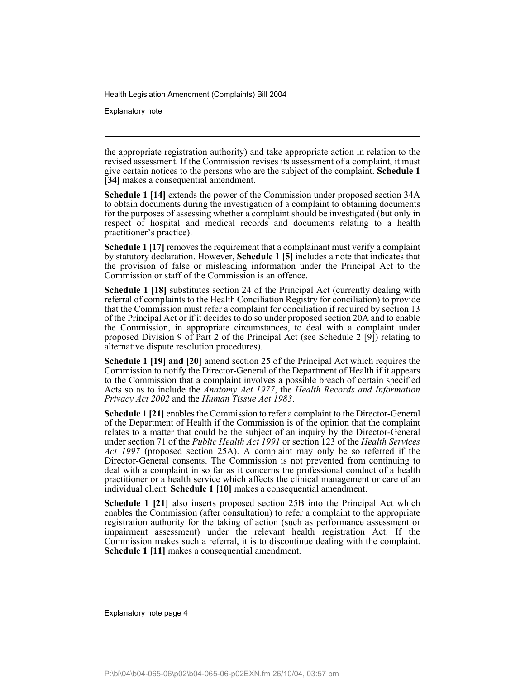Explanatory note

the appropriate registration authority) and take appropriate action in relation to the revised assessment. If the Commission revises its assessment of a complaint, it must give certain notices to the persons who are the subject of the complaint. **Schedule 1 [34]** makes a consequential amendment.

**Schedule 1 [14]** extends the power of the Commission under proposed section 34A to obtain documents during the investigation of a complaint to obtaining documents for the purposes of assessing whether a complaint should be investigated (but only in respect of hospital and medical records and documents relating to a health practitioner's practice).

**Schedule 1** [17] removes the requirement that a complainant must verify a complaint by statutory declaration. However, **Schedule 1 [5]** includes a note that indicates that the provision of false or misleading information under the Principal Act to the Commission or staff of the Commission is an offence.

**Schedule 1 [18]** substitutes section 24 of the Principal Act (currently dealing with referral of complaints to the Health Conciliation Registry for conciliation) to provide that the Commission must refer a complaint for conciliation if required by section 13 of the Principal Act or if it decides to do so under proposed section 20A and to enable the Commission, in appropriate circumstances, to deal with a complaint under proposed Division 9 of Part 2 of the Principal Act (see Schedule 2 [9]) relating to alternative dispute resolution procedures).

**Schedule 1 [19] and [20]** amend section 25 of the Principal Act which requires the Commission to notify the Director-General of the Department of Health if it appears to the Commission that a complaint involves a possible breach of certain specified Acts so as to include the *Anatomy Act 1977*, the *Health Records and Information Privacy Act 2002* and the *Human Tissue Act 1983*.

**Schedule 1 [21]** enables the Commission to refer a complaint to the Director-General of the Department of Health if the Commission is of the opinion that the complaint relates to a matter that could be the subject of an inquiry by the Director-General under section 71 of the *Public Health Act 1991* or section 123 of the *Health Services Act 1997* (proposed section 25A). A complaint may only be so referred if the Director-General consents. The Commission is not prevented from continuing to deal with a complaint in so far as it concerns the professional conduct of a health practitioner or a health service which affects the clinical management or care of an individual client. **Schedule 1 [10]** makes a consequential amendment.

**Schedule 1 [21]** also inserts proposed section 25B into the Principal Act which enables the Commission (after consultation) to refer a complaint to the appropriate registration authority for the taking of action (such as performance assessment or impairment assessment) under the relevant health registration Act. If the Commission makes such a referral, it is to discontinue dealing with the complaint. **Schedule 1 [11]** makes a consequential amendment.

Explanatory note page 4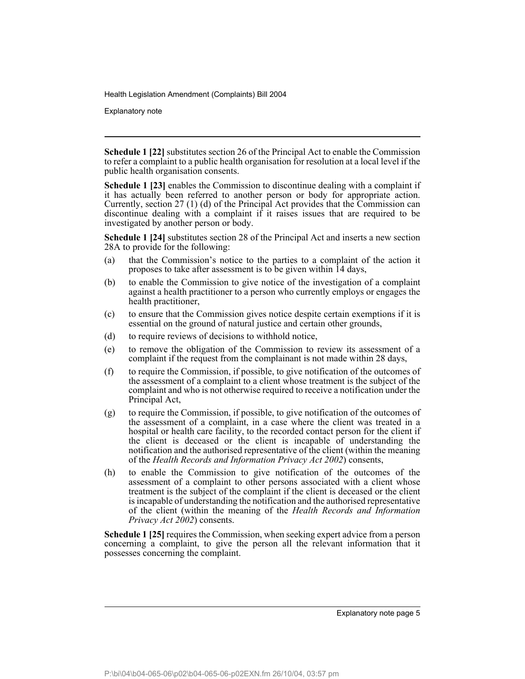Explanatory note

**Schedule 1 [22]** substitutes section 26 of the Principal Act to enable the Commission to refer a complaint to a public health organisation for resolution at a local level if the public health organisation consents.

**Schedule 1 [23]** enables the Commission to discontinue dealing with a complaint if it has actually been referred to another person or body for appropriate action. Currently, section 27 (1) (d) of the Principal Act provides that the Commission can discontinue dealing with a complaint if it raises issues that are required to be investigated by another person or body.

**Schedule 1 [24]** substitutes section 28 of the Principal Act and inserts a new section 28A to provide for the following:

- (a) that the Commission's notice to the parties to a complaint of the action it proposes to take after assessment is to be given within 14 days,
- (b) to enable the Commission to give notice of the investigation of a complaint against a health practitioner to a person who currently employs or engages the health practitioner,
- (c) to ensure that the Commission gives notice despite certain exemptions if it is essential on the ground of natural justice and certain other grounds,
- (d) to require reviews of decisions to withhold notice,
- (e) to remove the obligation of the Commission to review its assessment of a complaint if the request from the complainant is not made within 28 days,
- (f) to require the Commission, if possible, to give notification of the outcomes of the assessment of a complaint to a client whose treatment is the subject of the complaint and who is not otherwise required to receive a notification under the Principal Act,
- (g) to require the Commission, if possible, to give notification of the outcomes of the assessment of a complaint, in a case where the client was treated in a hospital or health care facility, to the recorded contact person for the client if the client is deceased or the client is incapable of understanding the notification and the authorised representative of the client (within the meaning of the *Health Records and Information Privacy Act 2002*) consents,
- (h) to enable the Commission to give notification of the outcomes of the assessment of a complaint to other persons associated with a client whose treatment is the subject of the complaint if the client is deceased or the client is incapable of understanding the notification and the authorised representative of the client (within the meaning of the *Health Records and Information Privacy Act 2002*) consents.

**Schedule 1 [25]** requires the Commission, when seeking expert advice from a person concerning a complaint, to give the person all the relevant information that it possesses concerning the complaint.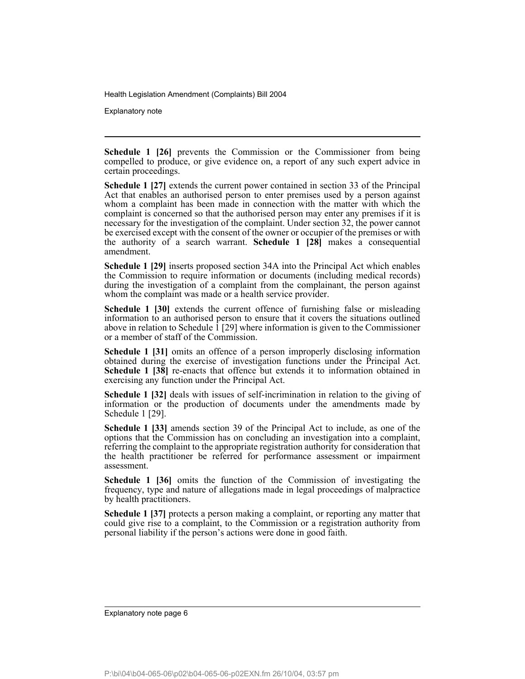Explanatory note

**Schedule 1 [26]** prevents the Commission or the Commissioner from being compelled to produce, or give evidence on, a report of any such expert advice in certain proceedings.

**Schedule 1 [27]** extends the current power contained in section 33 of the Principal Act that enables an authorised person to enter premises used by a person against whom a complaint has been made in connection with the matter with which the complaint is concerned so that the authorised person may enter any premises if it is necessary for the investigation of the complaint. Under section 32, the power cannot be exercised except with the consent of the owner or occupier of the premises or with the authority of a search warrant. **Schedule 1 [28]** makes a consequential amendment.

**Schedule 1 [29]** inserts proposed section 34A into the Principal Act which enables the Commission to require information or documents (including medical records) during the investigation of a complaint from the complainant, the person against whom the complaint was made or a health service provider.

**Schedule 1 [30]** extends the current offence of furnishing false or misleading information to an authorised person to ensure that it covers the situations outlined above in relation to Schedule  $\overline{1}$  [29] where information is given to the Commissioner or a member of staff of the Commission.

**Schedule 1 [31]** omits an offence of a person improperly disclosing information obtained during the exercise of investigation functions under the Principal Act. **Schedule 1 [38]** re-enacts that offence but extends it to information obtained in exercising any function under the Principal Act.

**Schedule 1 [32]** deals with issues of self-incrimination in relation to the giving of information or the production of documents under the amendments made by Schedule 1 [29].

**Schedule 1 [33]** amends section 39 of the Principal Act to include, as one of the options that the Commission has on concluding an investigation into a complaint, referring the complaint to the appropriate registration authority for consideration that the health practitioner be referred for performance assessment or impairment assessment.

**Schedule 1 [36]** omits the function of the Commission of investigating the frequency, type and nature of allegations made in legal proceedings of malpractice by health practitioners.

**Schedule 1 [37]** protects a person making a complaint, or reporting any matter that could give rise to a complaint, to the Commission or a registration authority from personal liability if the person's actions were done in good faith.

Explanatory note page 6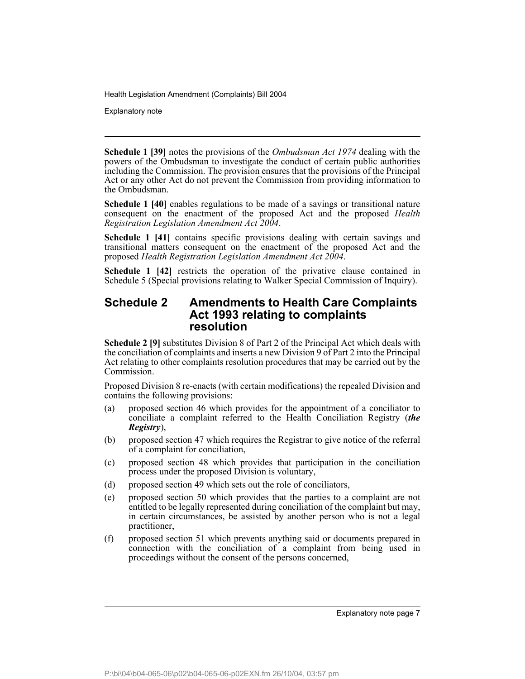Explanatory note

**Schedule 1 [39]** notes the provisions of the *Ombudsman Act 1974* dealing with the powers of the Ombudsman to investigate the conduct of certain public authorities including the Commission. The provision ensures that the provisions of the Principal Act or any other Act do not prevent the Commission from providing information to the Ombudsman.

**Schedule 1 [40]** enables regulations to be made of a savings or transitional nature consequent on the enactment of the proposed Act and the proposed *Health Registration Legislation Amendment Act 2004*.

**Schedule 1 [41]** contains specific provisions dealing with certain savings and transitional matters consequent on the enactment of the proposed Act and the proposed *Health Registration Legislation Amendment Act 2004*.

**Schedule 1 [42]** restricts the operation of the privative clause contained in Schedule 5 (Special provisions relating to Walker Special Commission of Inquiry).

## **Schedule 2 Amendments to Health Care Complaints Act 1993 relating to complaints resolution**

**Schedule 2 [9]** substitutes Division 8 of Part 2 of the Principal Act which deals with the conciliation of complaints and inserts a new Division 9 of Part 2 into the Principal Act relating to other complaints resolution procedures that may be carried out by the Commission.

Proposed Division 8 re-enacts (with certain modifications) the repealed Division and contains the following provisions:

- (a) proposed section 46 which provides for the appointment of a conciliator to conciliate a complaint referred to the Health Conciliation Registry (*the Registry*),
- (b) proposed section 47 which requires the Registrar to give notice of the referral of a complaint for conciliation,
- (c) proposed section 48 which provides that participation in the conciliation process under the proposed Division is voluntary,
- (d) proposed section 49 which sets out the role of conciliators,
- (e) proposed section 50 which provides that the parties to a complaint are not entitled to be legally represented during conciliation of the complaint but may, in certain circumstances, be assisted by another person who is not a legal practitioner,
- (f) proposed section 51 which prevents anything said or documents prepared in connection with the conciliation of a complaint from being used in proceedings without the consent of the persons concerned,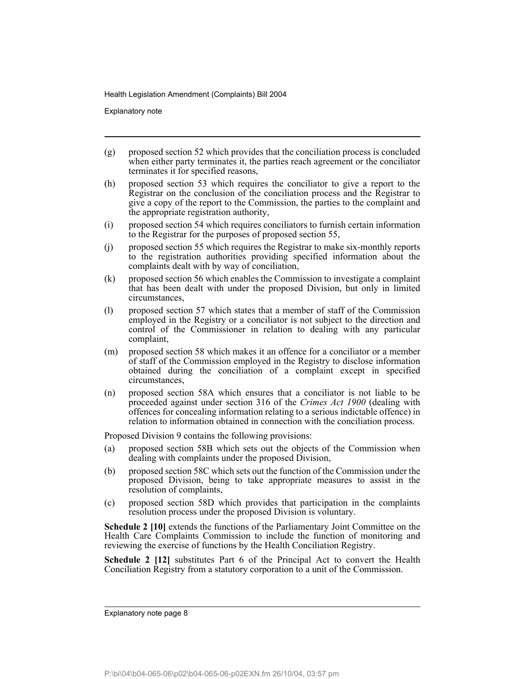Explanatory note

- (g) proposed section 52 which provides that the conciliation process is concluded when either party terminates it, the parties reach agreement or the conciliator terminates it for specified reasons,
- (h) proposed section 53 which requires the conciliator to give a report to the Registrar on the conclusion of the conciliation process and the Registrar to give a copy of the report to the Commission, the parties to the complaint and the appropriate registration authority,
- (i) proposed section 54 which requires conciliators to furnish certain information to the Registrar for the purposes of proposed section 55,
- (j) proposed section 55 which requires the Registrar to make six-monthly reports to the registration authorities providing specified information about the complaints dealt with by way of conciliation,
- (k) proposed section 56 which enables the Commission to investigate a complaint that has been dealt with under the proposed Division, but only in limited circumstances,
- (l) proposed section 57 which states that a member of staff of the Commission employed in the Registry or a conciliator is not subject to the direction and control of the Commissioner in relation to dealing with any particular complaint,
- (m) proposed section 58 which makes it an offence for a conciliator or a member of staff of the Commission employed in the Registry to disclose information obtained during the conciliation of a complaint except in specified circumstances,
- (n) proposed section 58A which ensures that a conciliator is not liable to be proceeded against under section 316 of the *Crimes Act 1900* (dealing with offences for concealing information relating to a serious indictable offence) in relation to information obtained in connection with the conciliation process.

Proposed Division 9 contains the following provisions:

- (a) proposed section 58B which sets out the objects of the Commission when dealing with complaints under the proposed Division,
- (b) proposed section 58C which sets out the function of the Commission under the proposed Division, being to take appropriate measures to assist in the resolution of complaints,
- (c) proposed section 58D which provides that participation in the complaints resolution process under the proposed Division is voluntary.

**Schedule 2 [10]** extends the functions of the Parliamentary Joint Committee on the Health Care Complaints Commission to include the function of monitoring and reviewing the exercise of functions by the Health Conciliation Registry.

**Schedule 2 [12]** substitutes Part 6 of the Principal Act to convert the Health Conciliation Registry from a statutory corporation to a unit of the Commission.

Explanatory note page 8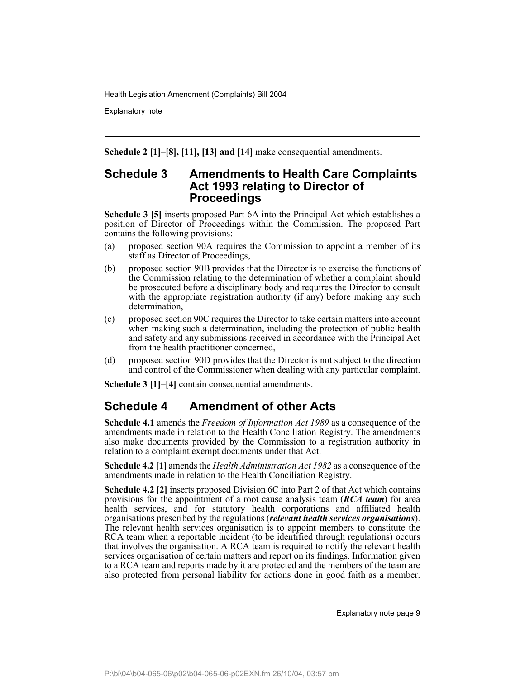Explanatory note

**Schedule 2 [1]–[8], [11], [13] and [14]** make consequential amendments.

## **Schedule 3 Amendments to Health Care Complaints Act 1993 relating to Director of Proceedings**

**Schedule 3 [5]** inserts proposed Part 6A into the Principal Act which establishes a position of Director of Proceedings within the Commission. The proposed Part contains the following provisions:

- (a) proposed section 90A requires the Commission to appoint a member of its staff as Director of Proceedings,
- (b) proposed section 90B provides that the Director is to exercise the functions of the Commission relating to the determination of whether a complaint should be prosecuted before a disciplinary body and requires the Director to consult with the appropriate registration authority (if any) before making any such determination,
- (c) proposed section 90C requires the Director to take certain matters into account when making such a determination, including the protection of public health and safety and any submissions received in accordance with the Principal Act from the health practitioner concerned,
- (d) proposed section 90D provides that the Director is not subject to the direction and control of the Commissioner when dealing with any particular complaint.

**Schedule 3 [1]–[4]** contain consequential amendments.

## **Schedule 4 Amendment of other Acts**

**Schedule 4.1** amends the *Freedom of Information Act 1989* as a consequence of the amendments made in relation to the Health Conciliation Registry. The amendments also make documents provided by the Commission to a registration authority in relation to a complaint exempt documents under that Act.

**Schedule 4.2 [1]** amends the *Health Administration Act 1982* as a consequence of the amendments made in relation to the Health Conciliation Registry.

**Schedule 4.2 [2]** inserts proposed Division 6C into Part 2 of that Act which contains provisions for the appointment of a root cause analysis team (*RCA team*) for area health services, and for statutory health corporations and affiliated health organisations prescribed by the regulations (*relevant health services organisations*). The relevant health services organisation is to appoint members to constitute the RCA team when a reportable incident (to be identified through regulations) occurs that involves the organisation. A RCA team is required to notify the relevant health services organisation of certain matters and report on its findings. Information given to a RCA team and reports made by it are protected and the members of the team are also protected from personal liability for actions done in good faith as a member.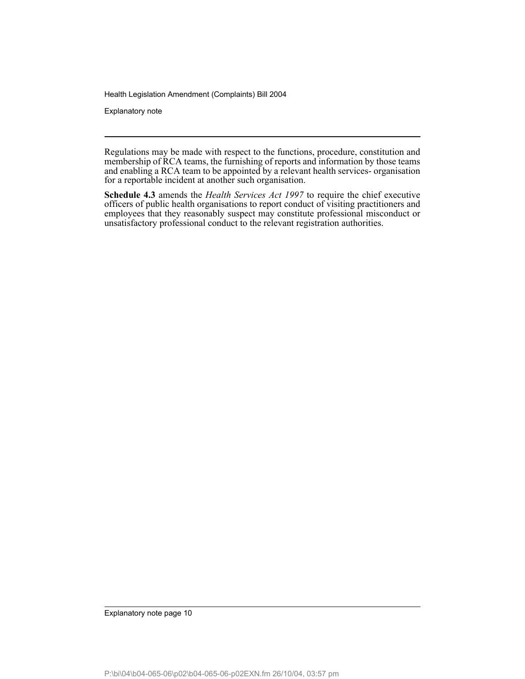Explanatory note

Regulations may be made with respect to the functions, procedure, constitution and membership of RCA teams, the furnishing of reports and information by those teams and enabling a RCA team to be appointed by a relevant health services- organisation for a reportable incident at another such organisation.

**Schedule 4.3** amends the *Health Services Act 1997* to require the chief executive officers of public health organisations to report conduct of visiting practitioners and employees that they reasonably suspect may constitute professional misconduct or unsatisfactory professional conduct to the relevant registration authorities.

Explanatory note page 10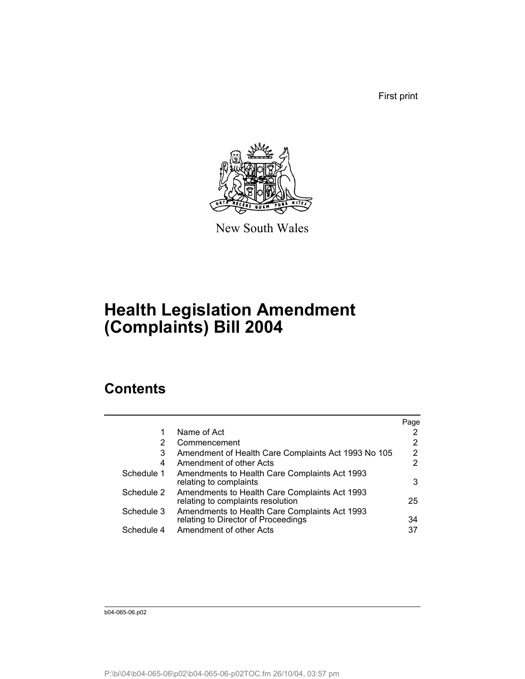First print



New South Wales

# **Health Legislation Amendment (Complaints) Bill 2004**

## **Contents**

|            |                                                                                      | Page |
|------------|--------------------------------------------------------------------------------------|------|
| 1          | Name of Act                                                                          |      |
| 2          | Commencement                                                                         | 2    |
| 3          | Amendment of Health Care Complaints Act 1993 No 105                                  | 2    |
| 4          | Amendment of other Acts                                                              | 2    |
| Schedule 1 | Amendments to Health Care Complaints Act 1993<br>relating to complaints              | 3    |
| Schedule 2 | Amendments to Health Care Complaints Act 1993<br>relating to complaints resolution   | 25   |
| Schedule 3 | Amendments to Health Care Complaints Act 1993<br>relating to Director of Proceedings | 34   |
| Schedule 4 | Amendment of other Acts                                                              | 37   |

b04-065-06.p02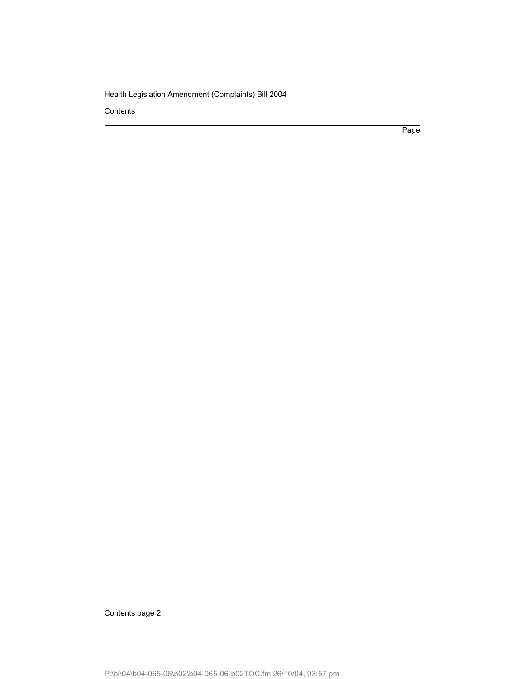**Contents** 

Page

Contents page 2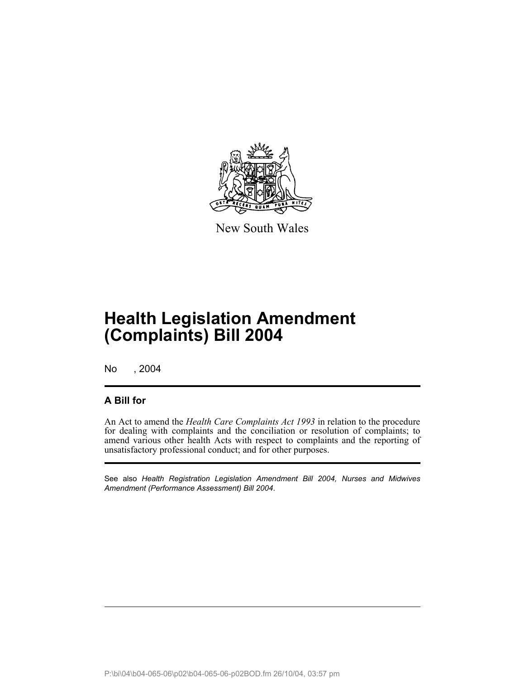

New South Wales

No , 2004

### **A Bill for**

An Act to amend the *Health Care Complaints Act 1993* in relation to the procedure for dealing with complaints and the conciliation or resolution of complaints; to amend various other health Acts with respect to complaints and the reporting of unsatisfactory professional conduct; and for other purposes.

See also *Health Registration Legislation Amendment Bill 2004, Nurses and Midwives Amendment (Performance Assessment) Bill 2004*.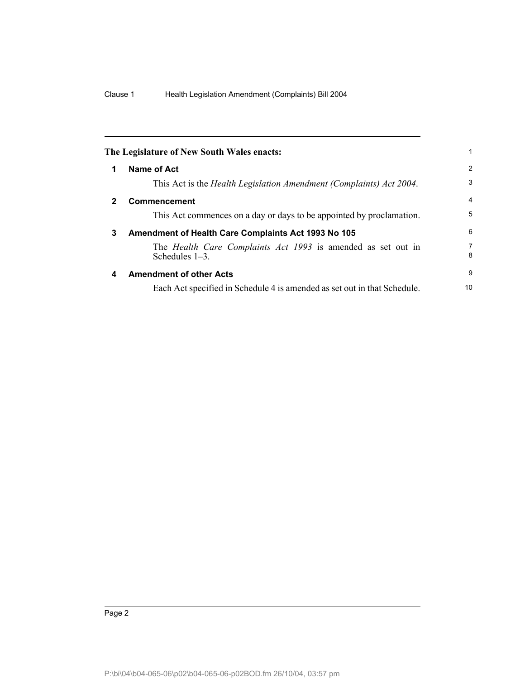|              | The Legislature of New South Wales enacts:                                               | 1              |
|--------------|------------------------------------------------------------------------------------------|----------------|
| 1            | Name of Act                                                                              | 2              |
|              | This Act is the <i>Health Legislation Amendment (Complaints) Act 2004</i> .              | 3              |
| $\mathbf{2}$ | Commencement                                                                             | $\overline{4}$ |
|              | This Act commences on a day or days to be appointed by proclamation.                     | 5              |
| 3            | Amendment of Health Care Complaints Act 1993 No 105                                      | 6              |
|              | The <i>Health Care Complaints Act 1993</i> is amended as set out in<br>Schedules $1-3$ . | 7<br>8         |
| 4            | <b>Amendment of other Acts</b>                                                           | 9              |
|              | Each Act specified in Schedule 4 is amended as set out in that Schedule.                 | 10             |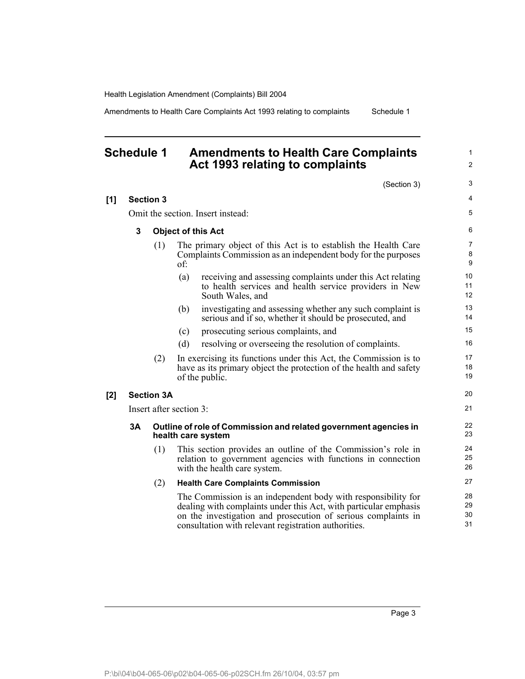Amendments to Health Care Complaints Act 1993 relating to complaints Schedule 1

## **Schedule 1 Amendments to Health Care Complaints Act 1993 relating to complaints**

(Section 3)

## **[1] Section 3** Omit the section. Insert instead: **3 Object of this Act** (1) The primary object of this Act is to establish the Health Care Complaints Commission as an independent body for the purposes of: (a) receiving and assessing complaints under this Act relating to health services and health service providers in New South Wales, and (b) investigating and assessing whether any such complaint is serious and if so, whether it should be prosecuted, and (c) prosecuting serious complaints, and (d) resolving or overseeing the resolution of complaints. (2) In exercising its functions under this Act, the Commission is to have as its primary object the protection of the health and safety of the public. **[2] Section 3A** Insert after section 3: **3A Outline of role of Commission and related government agencies in health care system** (1) This section provides an outline of the Commission's role in relation to government agencies with functions in connection with the health care system. (2) **Health Care Complaints Commission**

The Commission is an independent body with responsibility for dealing with complaints under this Act, with particular emphasis on the investigation and prosecution of serious complaints in consultation with relevant registration authorities.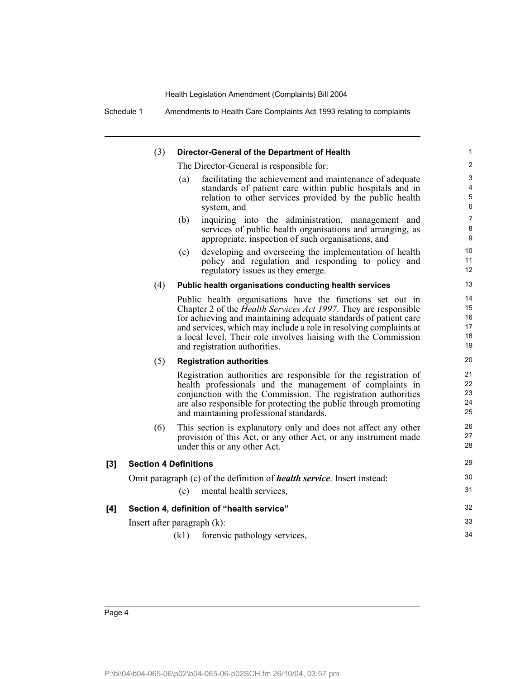Schedule 1 Amendments to Health Care Complaints Act 1993 relating to complaints

|       | (3)                          | Director-General of the Department of Health                                                                                                                                                                                                                                                                                                                                      | $\mathbf{1}$                            |
|-------|------------------------------|-----------------------------------------------------------------------------------------------------------------------------------------------------------------------------------------------------------------------------------------------------------------------------------------------------------------------------------------------------------------------------------|-----------------------------------------|
|       |                              | The Director-General is responsible for:                                                                                                                                                                                                                                                                                                                                          | $\overline{c}$                          |
|       |                              | (a)<br>facilitating the achievement and maintenance of adequate<br>standards of patient care within public hospitals and in<br>relation to other services provided by the public health<br>system, and                                                                                                                                                                            | $\mathsf 3$<br>4<br>$\overline{5}$<br>6 |
|       |                              | (b)<br>inquiring into the administration, management and<br>services of public health organisations and arranging, as<br>appropriate, inspection of such organisations, and                                                                                                                                                                                                       | $\overline{7}$<br>8<br>9                |
|       |                              | developing and overseeing the implementation of health<br>(c)<br>policy and regulation and responding to policy and<br>regulatory issues as they emerge.                                                                                                                                                                                                                          | 10<br>11<br>12                          |
|       | (4)                          | Public health organisations conducting health services                                                                                                                                                                                                                                                                                                                            | 13                                      |
|       |                              | Public health organisations have the functions set out in<br>Chapter 2 of the <i>Health Services Act 1997</i> . They are responsible<br>for achieving and maintaining adequate standards of patient care<br>and services, which may include a role in resolving complaints at<br>a local level. Their role involves liaising with the Commission<br>and registration authorities. | 14<br>15<br>16<br>17<br>18<br>19        |
|       | (5)                          | <b>Registration authorities</b>                                                                                                                                                                                                                                                                                                                                                   | 20                                      |
|       |                              | Registration authorities are responsible for the registration of<br>health professionals and the management of complaints in<br>conjunction with the Commission. The registration authorities<br>are also responsible for protecting the public through promoting<br>and maintaining professional standards.                                                                      | 21<br>22<br>23<br>24<br>25              |
|       | (6)                          | This section is explanatory only and does not affect any other<br>provision of this Act, or any other Act, or any instrument made<br>under this or any other Act.                                                                                                                                                                                                                 | 26<br>27<br>28                          |
| $[3]$ | <b>Section 4 Definitions</b> |                                                                                                                                                                                                                                                                                                                                                                                   | 29                                      |
|       |                              | Omit paragraph (c) of the definition of <i>health service</i> . Insert instead:                                                                                                                                                                                                                                                                                                   | 30                                      |
|       |                              | mental health services,<br>(c)                                                                                                                                                                                                                                                                                                                                                    | 31                                      |
| [4]   |                              | Section 4, definition of "health service"                                                                                                                                                                                                                                                                                                                                         | 32                                      |
|       |                              | Insert after paragraph $(k)$ :                                                                                                                                                                                                                                                                                                                                                    | 33                                      |
|       |                              | forensic pathology services,<br>(k1)                                                                                                                                                                                                                                                                                                                                              | 34                                      |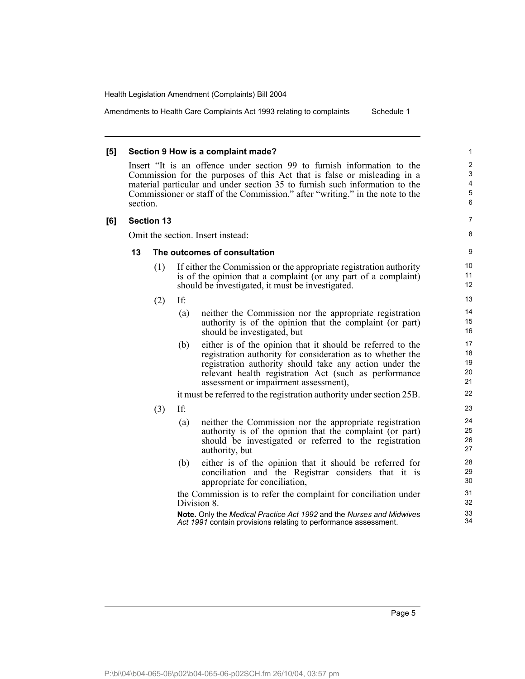Amendments to Health Care Complaints Act 1993 relating to complaints Schedule 1

#### **[5] Section 9 How is a complaint made?**

Insert "It is an offence under section 99 to furnish information to the Commission for the purposes of this Act that is false or misleading in a material particular and under section 35 to furnish such information to the Commissioner or staff of the Commission." after "writing." in the note to the section.

#### **[6] Section 13**

Omit the section. Insert instead:

#### **13 The outcomes of consultation**

- (1) If either the Commission or the appropriate registration authority is of the opinion that a complaint (or any part of a complaint) should be investigated, it must be investigated.
- (2) If:
	- (a) neither the Commission nor the appropriate registration authority is of the opinion that the complaint (or part) should be investigated, but
	- (b) either is of the opinion that it should be referred to the registration authority for consideration as to whether the registration authority should take any action under the relevant health registration Act (such as performance assessment or impairment assessment),

it must be referred to the registration authority under section 25B.

- (3) If:
	- (a) neither the Commission nor the appropriate registration authority is of the opinion that the complaint (or part) should be investigated or referred to the registration authority, but
	- (b) either is of the opinion that it should be referred for conciliation and the Registrar considers that it is appropriate for conciliation,

the Commission is to refer the complaint for conciliation under Division 8.

**Note.** Only the *Medical Practice Act 1992* and the *Nurses and Midwives Act 1991* contain provisions relating to performance assessment.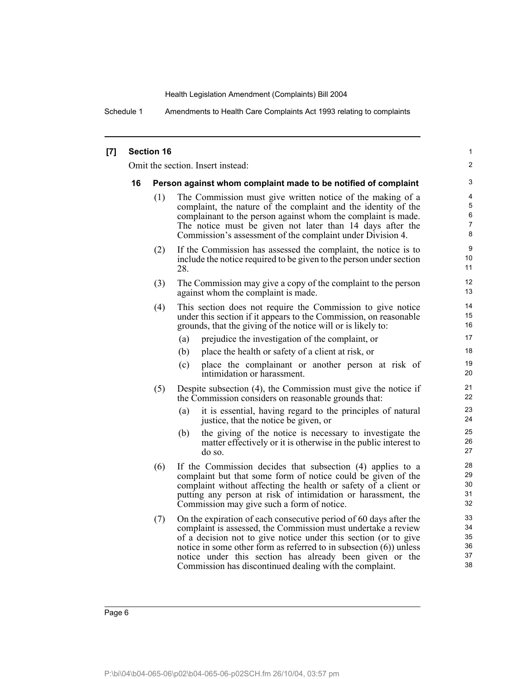Schedule 1 Amendments to Health Care Complaints Act 1993 relating to complaints

| $[7]$ | <b>Section 16</b>                 |                                                                |                                                                                                                                                                                                                                                                                                                                                                                                      |                                                          |  |  |  |  |
|-------|-----------------------------------|----------------------------------------------------------------|------------------------------------------------------------------------------------------------------------------------------------------------------------------------------------------------------------------------------------------------------------------------------------------------------------------------------------------------------------------------------------------------------|----------------------------------------------------------|--|--|--|--|
|       | Omit the section. Insert instead: |                                                                |                                                                                                                                                                                                                                                                                                                                                                                                      |                                                          |  |  |  |  |
|       | 16                                | Person against whom complaint made to be notified of complaint |                                                                                                                                                                                                                                                                                                                                                                                                      |                                                          |  |  |  |  |
|       |                                   | (1)                                                            | The Commission must give written notice of the making of a<br>complaint, the nature of the complaint and the identity of the<br>complainant to the person against whom the complaint is made.<br>The notice must be given not later than 14 days after the<br>Commission's assessment of the complaint under Division 4.                                                                             | 4<br>$\mathbf 5$<br>$\,6\,$<br>$\overline{7}$<br>$\bf 8$ |  |  |  |  |
|       |                                   | (2)                                                            | If the Commission has assessed the complaint, the notice is to<br>include the notice required to be given to the person under section<br>28.                                                                                                                                                                                                                                                         | 9<br>10 <sup>1</sup><br>11                               |  |  |  |  |
|       |                                   | (3)                                                            | The Commission may give a copy of the complaint to the person<br>against whom the complaint is made.                                                                                                                                                                                                                                                                                                 | $12 \overline{ }$<br>13                                  |  |  |  |  |
|       |                                   | (4)                                                            | This section does not require the Commission to give notice<br>under this section if it appears to the Commission, on reasonable<br>grounds, that the giving of the notice will or is likely to:                                                                                                                                                                                                     | 14<br>15<br>16                                           |  |  |  |  |
|       |                                   |                                                                | prejudice the investigation of the complaint, or<br>(a)                                                                                                                                                                                                                                                                                                                                              | 17                                                       |  |  |  |  |
|       |                                   |                                                                | place the health or safety of a client at risk, or<br>(b)                                                                                                                                                                                                                                                                                                                                            | 18                                                       |  |  |  |  |
|       |                                   |                                                                | (c)<br>place the complainant or another person at risk of<br>intimidation or harassment.                                                                                                                                                                                                                                                                                                             | 19<br>20                                                 |  |  |  |  |
|       |                                   | (5)                                                            | Despite subsection (4), the Commission must give the notice if<br>the Commission considers on reasonable grounds that:                                                                                                                                                                                                                                                                               | 21<br>22                                                 |  |  |  |  |
|       |                                   |                                                                | it is essential, having regard to the principles of natural<br>(a)<br>justice, that the notice be given, or                                                                                                                                                                                                                                                                                          | 23<br>24                                                 |  |  |  |  |
|       |                                   |                                                                | (b)<br>the giving of the notice is necessary to investigate the<br>matter effectively or it is otherwise in the public interest to<br>do so.                                                                                                                                                                                                                                                         | 25<br>26<br>27                                           |  |  |  |  |
|       |                                   | (6)                                                            | If the Commission decides that subsection (4) applies to a<br>complaint but that some form of notice could be given of the<br>complaint without affecting the health or safety of a client or<br>putting any person at risk of intimidation or harassment, the<br>Commission may give such a form of notice.                                                                                         | 28<br>29<br>30<br>31<br>32                               |  |  |  |  |
|       |                                   | (7)                                                            | On the expiration of each consecutive period of 60 days after the<br>complaint is assessed, the Commission must undertake a review<br>of a decision not to give notice under this section (or to give<br>notice in some other form as referred to in subsection $(6)$ ) unless<br>notice under this section has already been given or the<br>Commission has discontinued dealing with the complaint. | 33<br>34<br>35<br>36<br>37<br>38                         |  |  |  |  |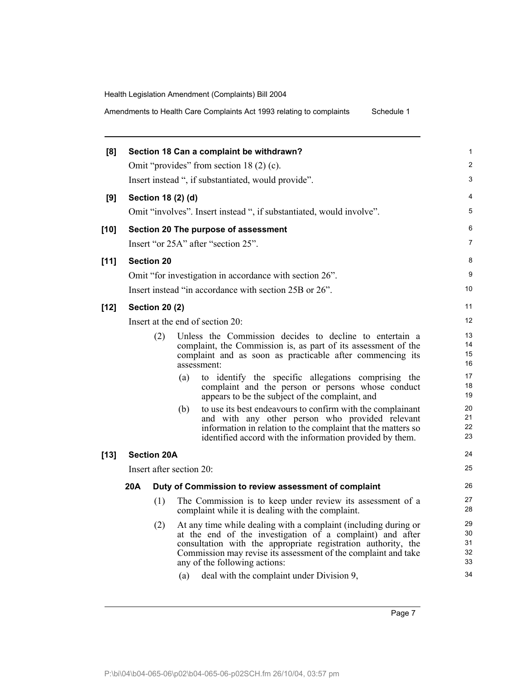Amendments to Health Care Complaints Act 1993 relating to complaints Schedule 1

| [8]    |     |                                      |                          | Section 18 Can a complaint be withdrawn?                                                                                                                                                                                                                                                         | 1                          |  |  |
|--------|-----|--------------------------------------|--------------------------|--------------------------------------------------------------------------------------------------------------------------------------------------------------------------------------------------------------------------------------------------------------------------------------------------|----------------------------|--|--|
|        |     |                                      |                          | Omit "provides" from section $18(2)(c)$ .                                                                                                                                                                                                                                                        | $\overline{2}$             |  |  |
|        |     |                                      |                          | Insert instead ", if substantiated, would provide".                                                                                                                                                                                                                                              | 3                          |  |  |
| [9]    |     |                                      | Section 18 (2) (d)       |                                                                                                                                                                                                                                                                                                  | 4                          |  |  |
|        |     |                                      |                          | Omit "involves". Insert instead ", if substantiated, would involve".                                                                                                                                                                                                                             | 5                          |  |  |
| $[10]$ |     | Section 20 The purpose of assessment |                          |                                                                                                                                                                                                                                                                                                  |                            |  |  |
|        |     |                                      |                          | Insert "or 25A" after "section 25".                                                                                                                                                                                                                                                              | $\overline{7}$             |  |  |
| $[11]$ |     | <b>Section 20</b>                    |                          |                                                                                                                                                                                                                                                                                                  | 8                          |  |  |
|        |     |                                      |                          | Omit "for investigation in accordance with section 26".                                                                                                                                                                                                                                          | 9                          |  |  |
|        |     |                                      |                          | Insert instead "in accordance with section 25B or 26".                                                                                                                                                                                                                                           | 10                         |  |  |
| $[12]$ |     | <b>Section 20 (2)</b>                |                          |                                                                                                                                                                                                                                                                                                  | 11                         |  |  |
|        |     |                                      |                          | Insert at the end of section 20:                                                                                                                                                                                                                                                                 | 12                         |  |  |
|        |     | (2)                                  |                          | Unless the Commission decides to decline to entertain a<br>complaint, the Commission is, as part of its assessment of the<br>complaint and as soon as practicable after commencing its<br>assessment:                                                                                            | 13<br>14<br>15<br>16       |  |  |
|        |     |                                      | (a)                      | to identify the specific allegations comprising the<br>complaint and the person or persons whose conduct<br>appears to be the subject of the complaint, and                                                                                                                                      | 17<br>18<br>19             |  |  |
|        |     |                                      | (b)                      | to use its best endeavours to confirm with the complainant<br>and with any other person who provided relevant<br>information in relation to the complaint that the matters so<br>identified accord with the information provided by them.                                                        | 20<br>21<br>22<br>23       |  |  |
| $[13]$ |     | <b>Section 20A</b>                   |                          |                                                                                                                                                                                                                                                                                                  | 24                         |  |  |
|        |     |                                      | Insert after section 20: |                                                                                                                                                                                                                                                                                                  | 25                         |  |  |
|        | 20A |                                      |                          | Duty of Commission to review assessment of complaint                                                                                                                                                                                                                                             | 26                         |  |  |
|        |     | (1)                                  |                          | The Commission is to keep under review its assessment of a<br>complaint while it is dealing with the complaint.                                                                                                                                                                                  | 27<br>28                   |  |  |
|        |     | (2)                                  |                          | At any time while dealing with a complaint (including during or<br>at the end of the investigation of a complaint) and after<br>consultation with the appropriate registration authority, the<br>Commission may revise its assessment of the complaint and take<br>any of the following actions: | 29<br>30<br>31<br>32<br>33 |  |  |
|        |     |                                      | (a)                      | deal with the complaint under Division 9,                                                                                                                                                                                                                                                        | 34                         |  |  |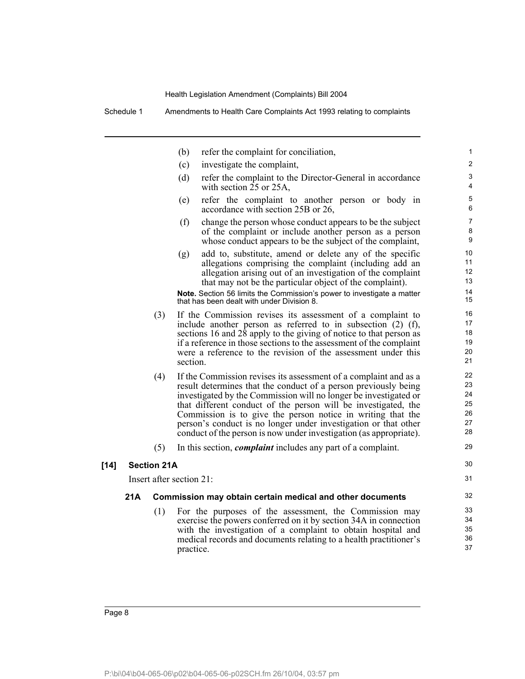|        |     |                    | (b)<br>refer the complaint for conciliation,                                                                                                                                                                                                                                                                                                                                                                                                                                      | 1                                      |
|--------|-----|--------------------|-----------------------------------------------------------------------------------------------------------------------------------------------------------------------------------------------------------------------------------------------------------------------------------------------------------------------------------------------------------------------------------------------------------------------------------------------------------------------------------|----------------------------------------|
|        |     |                    | investigate the complaint,<br>(c)                                                                                                                                                                                                                                                                                                                                                                                                                                                 | $\overline{c}$                         |
|        |     |                    | (d)<br>refer the complaint to the Director-General in accordance<br>with section 25 or 25A,                                                                                                                                                                                                                                                                                                                                                                                       | $\ensuremath{\mathsf{3}}$<br>4         |
|        |     |                    | refer the complaint to another person or body in<br>(e)<br>accordance with section 25B or 26,                                                                                                                                                                                                                                                                                                                                                                                     | 5<br>6                                 |
|        |     |                    | (f)<br>change the person whose conduct appears to be the subject<br>of the complaint or include another person as a person<br>whose conduct appears to be the subject of the complaint,                                                                                                                                                                                                                                                                                           | $\overline{7}$<br>$\bf 8$<br>9         |
|        |     |                    | add to, substitute, amend or delete any of the specific<br>(g)<br>allegations comprising the complaint (including add an<br>allegation arising out of an investigation of the complaint<br>that may not be the particular object of the complaint).<br>Note. Section 56 limits the Commission's power to investigate a matter<br>that has been dealt with under Division 8.                                                                                                       | 10<br>11<br>12<br>13<br>14<br>15       |
|        |     | (3)                | If the Commission revises its assessment of a complaint to<br>include another person as referred to in subsection $(2)$ $(f)$ ,<br>sections 16 and 28 apply to the giving of notice to that person as<br>if a reference in those sections to the assessment of the complaint<br>were a reference to the revision of the assessment under this<br>section.                                                                                                                         | 16<br>17<br>18<br>19<br>20<br>21       |
|        |     | (4)                | If the Commission revises its assessment of a complaint and as a<br>result determines that the conduct of a person previously being<br>investigated by the Commission will no longer be investigated or<br>that different conduct of the person will be investigated, the<br>Commission is to give the person notice in writing that the<br>person's conduct is no longer under investigation or that other<br>conduct of the person is now under investigation (as appropriate). | 22<br>23<br>24<br>25<br>26<br>27<br>28 |
|        |     | (5)                | In this section, <i>complaint</i> includes any part of a complaint.                                                                                                                                                                                                                                                                                                                                                                                                               | 29                                     |
| $[14]$ |     | <b>Section 21A</b> |                                                                                                                                                                                                                                                                                                                                                                                                                                                                                   | 30                                     |
|        |     |                    | Insert after section 21:                                                                                                                                                                                                                                                                                                                                                                                                                                                          | 31                                     |
|        | 21A |                    |                                                                                                                                                                                                                                                                                                                                                                                                                                                                                   | 32                                     |
|        |     |                    | Commission may obtain certain medical and other documents                                                                                                                                                                                                                                                                                                                                                                                                                         |                                        |
|        |     | (1)                | For the purposes of the assessment, the Commission may                                                                                                                                                                                                                                                                                                                                                                                                                            | 33<br>34                               |
|        |     |                    | exercise the powers conferred on it by section 34A in connection<br>with the investigation of a complaint to obtain hospital and                                                                                                                                                                                                                                                                                                                                                  | 35                                     |
|        |     |                    | medical records and documents relating to a health practitioner's                                                                                                                                                                                                                                                                                                                                                                                                                 | 36                                     |
|        |     |                    | practice.                                                                                                                                                                                                                                                                                                                                                                                                                                                                         | 37                                     |
|        |     |                    |                                                                                                                                                                                                                                                                                                                                                                                                                                                                                   |                                        |

Schedule 1 Amendments to Health Care Complaints Act 1993 relating to complaints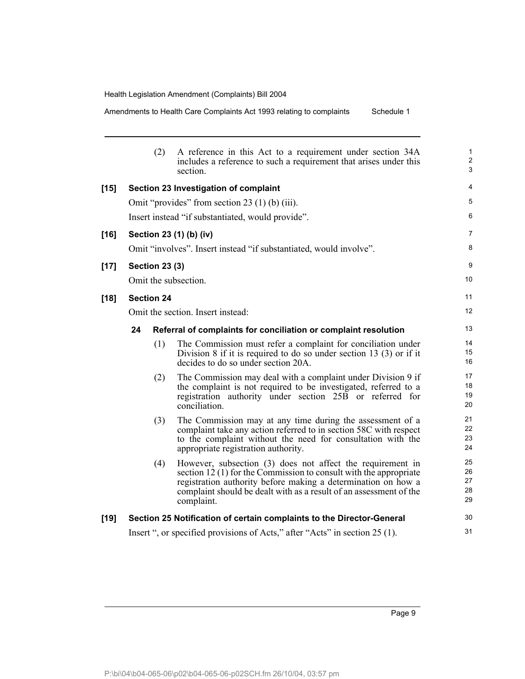Amendments to Health Care Complaints Act 1993 relating to complaints Schedule 1

|        | (2)                               | A reference in this Act to a requirement under section 34A<br>includes a reference to such a requirement that arises under this<br>section.                                                                                                                                          | $\mathbf{1}$<br>$\overline{c}$<br>$\mathsf 3$ |  |  |  |
|--------|-----------------------------------|--------------------------------------------------------------------------------------------------------------------------------------------------------------------------------------------------------------------------------------------------------------------------------------|-----------------------------------------------|--|--|--|
| $[15]$ |                                   | Section 23 Investigation of complaint                                                                                                                                                                                                                                                | 4                                             |  |  |  |
|        |                                   | Omit "provides" from section 23 (1) (b) (iii).                                                                                                                                                                                                                                       | 5                                             |  |  |  |
|        |                                   | Insert instead "if substantiated, would provide".                                                                                                                                                                                                                                    | 6                                             |  |  |  |
| $[16]$ |                                   | Section 23 (1) (b) (iv)                                                                                                                                                                                                                                                              | 7                                             |  |  |  |
|        |                                   | Omit "involves". Insert instead "if substantiated, would involve".                                                                                                                                                                                                                   | 8                                             |  |  |  |
| $[17]$ | <b>Section 23 (3)</b>             |                                                                                                                                                                                                                                                                                      | $\boldsymbol{9}$                              |  |  |  |
|        |                                   | Omit the subsection.                                                                                                                                                                                                                                                                 | 10                                            |  |  |  |
| $[18]$ | <b>Section 24</b>                 |                                                                                                                                                                                                                                                                                      | 11                                            |  |  |  |
|        | Omit the section. Insert instead: |                                                                                                                                                                                                                                                                                      |                                               |  |  |  |
|        | 24                                | Referral of complaints for conciliation or complaint resolution                                                                                                                                                                                                                      |                                               |  |  |  |
|        | (1)                               | The Commission must refer a complaint for conciliation under<br>Division 8 if it is required to do so under section 13 $(3)$ or if it<br>decides to do so under section 20A.                                                                                                         | 14<br>15<br>16                                |  |  |  |
|        | (2)                               | The Commission may deal with a complaint under Division 9 if<br>the complaint is not required to be investigated, referred to a<br>registration authority under section 25B or referred for<br>conciliation.                                                                         | 17<br>18<br>19<br>20                          |  |  |  |
|        | (3)                               | The Commission may at any time during the assessment of a<br>complaint take any action referred to in section 58C with respect<br>to the complaint without the need for consultation with the<br>appropriate registration authority.                                                 | 21<br>22<br>23<br>24                          |  |  |  |
|        | (4)                               | However, subsection (3) does not affect the requirement in<br>section 12 (1) for the Commission to consult with the appropriate<br>registration authority before making a determination on how a<br>complaint should be dealt with as a result of an assessment of the<br>complaint. | 25<br>26<br>27<br>28<br>29                    |  |  |  |
| $[19]$ |                                   | Section 25 Notification of certain complaints to the Director-General                                                                                                                                                                                                                | 30                                            |  |  |  |
|        |                                   | Insert ", or specified provisions of Acts," after "Acts" in section 25 (1).                                                                                                                                                                                                          | 31                                            |  |  |  |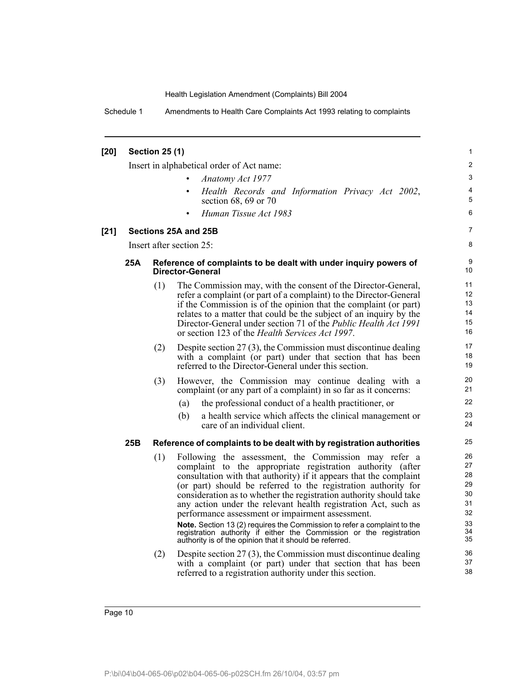Schedule 1 Amendments to Health Care Complaints Act 1993 relating to complaints

#### **[20] Section 25 (1)**

Insert in alphabetical order of Act name:

- *Anatomy Act 1977*
- *Health Records and Information Privacy Act 2002*, section 68, 69 or 70

• *Human Tissue Act 1983*

#### **[21] Sections 25A and 25B**

Insert after section 25:

#### **25A Reference of complaints to be dealt with under inquiry powers of Director-General**

- (1) The Commission may, with the consent of the Director-General, refer a complaint (or part of a complaint) to the Director-General if the Commission is of the opinion that the complaint (or part) relates to a matter that could be the subject of an inquiry by the Director-General under section 71 of the *Public Health Act 1991* or section 123 of the *Health Services Act 1997*.
- (2) Despite section 27 (3), the Commission must discontinue dealing with a complaint (or part) under that section that has been referred to the Director-General under this section.
- (3) However, the Commission may continue dealing with a complaint (or any part of a complaint) in so far as it concerns:
	- (a) the professional conduct of a health practitioner, or
	- (b) a health service which affects the clinical management or care of an individual client.

#### **25B Reference of complaints to be dealt with by registration authorities**

(1) Following the assessment, the Commission may refer a complaint to the appropriate registration authority (after consultation with that authority) if it appears that the complaint (or part) should be referred to the registration authority for consideration as to whether the registration authority should take any action under the relevant health registration Act, such as performance assessment or impairment assessment.

**Note.** Section 13 (2) requires the Commission to refer a complaint to the registration authority if either the Commission or the registration authority is of the opinion that it should be referred.

(2) Despite section 27 (3), the Commission must discontinue dealing with a complaint (or part) under that section that has been referred to a registration authority under this section.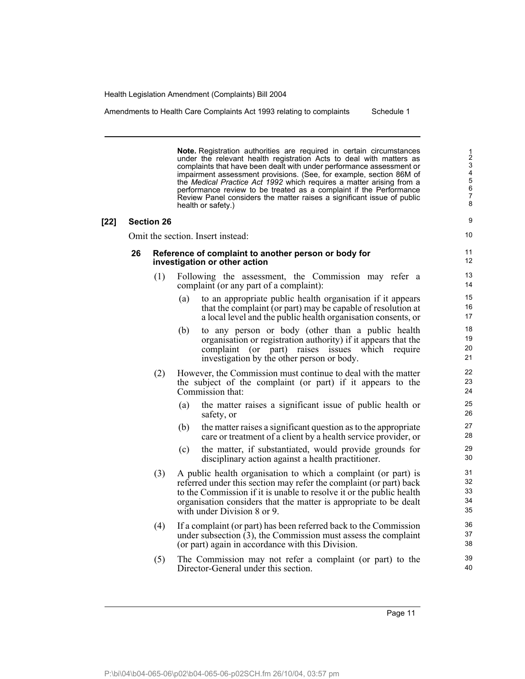Amendments to Health Care Complaints Act 1993 relating to complaints Schedule 1

**Note.** Registration authorities are required in certain circumstances under the relevant health registration Acts to deal with matters as complaints that have been dealt with under performance assessment or impairment assessment provisions. (See, for example, section 86M of the *Medical Practice Act 1992* which requires a matter arising from a performance review to be treated as a complaint if the Performance Review Panel considers the matter raises a significant issue of public health or safety.)

#### **[22] Section 26**

Omit the section. Insert instead:

10

#### **26 Reference of complaint to another person or body for investigation or other action**

- (1) Following the assessment, the Commission may refer a complaint (or any part of a complaint):
	- (a) to an appropriate public health organisation if it appears that the complaint (or part) may be capable of resolution at a local level and the public health organisation consents, or
	- (b) to any person or body (other than a public health organisation or registration authority) if it appears that the complaint (or part) raises issues which require investigation by the other person or body.
- (2) However, the Commission must continue to deal with the matter the subject of the complaint (or part) if it appears to the Commission that:
	- (a) the matter raises a significant issue of public health or safety, or
	- (b) the matter raises a significant question as to the appropriate care or treatment of a client by a health service provider, or
	- (c) the matter, if substantiated, would provide grounds for disciplinary action against a health practitioner.
- (3) A public health organisation to which a complaint (or part) is referred under this section may refer the complaint (or part) back to the Commission if it is unable to resolve it or the public health organisation considers that the matter is appropriate to be dealt with under Division 8 or 9.
- (4) If a complaint (or part) has been referred back to the Commission under subsection (3), the Commission must assess the complaint (or part) again in accordance with this Division.
- (5) The Commission may not refer a complaint (or part) to the Director-General under this section.

Page 11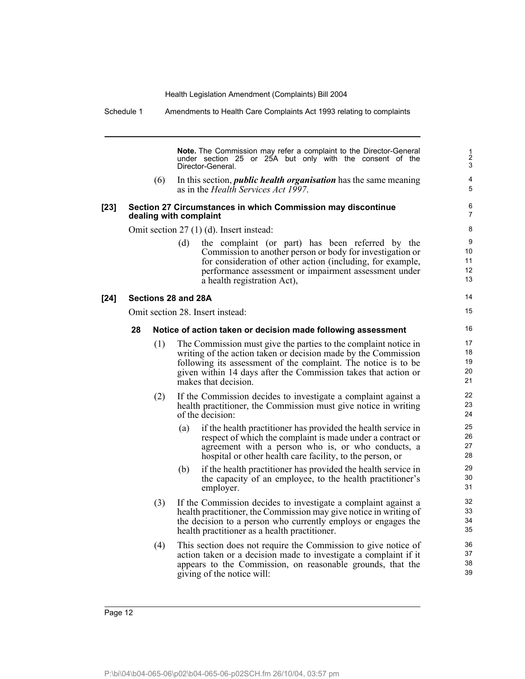Schedule 1 Amendments to Health Care Complaints Act 1993 relating to complaints

**Note.** The Commission may refer a complaint to the Director-General under section 25 or 25A but only with the consent of the Director-General. (6) In this section, *public health organisation* has the same meaning as in the *Health Services Act 1997*. **[23] Section 27 Circumstances in which Commission may discontinue dealing with complaint** Omit section 27 (1) (d). Insert instead: (d) the complaint (or part) has been referred by the Commission to another person or body for investigation or for consideration of other action (including, for example, performance assessment or impairment assessment under a health registration Act), **[24] Sections 28 and 28A** Omit section 28. Insert instead: **28 Notice of action taken or decision made following assessment** (1) The Commission must give the parties to the complaint notice in writing of the action taken or decision made by the Commission following its assessment of the complaint. The notice is to be given within 14 days after the Commission takes that action or makes that decision. (2) If the Commission decides to investigate a complaint against a health practitioner, the Commission must give notice in writing of the decision: (a) if the health practitioner has provided the health service in respect of which the complaint is made under a contract or agreement with a person who is, or who conducts, a hospital or other health care facility, to the person, or (b) if the health practitioner has provided the health service in the capacity of an employee, to the health practitioner's employer. (3) If the Commission decides to investigate a complaint against a health practitioner, the Commission may give notice in writing of the decision to a person who currently employs or engages the health practitioner as a health practitioner. (4) This section does not require the Commission to give notice of action taken or a decision made to investigate a complaint if it appears to the Commission, on reasonable grounds, that the giving of the notice will: 1 2 3 4 5 6 7 8 9 10 11 12 13 14 15 16 17 18 19 20 21 22 23 24 25 26 27 28 29 30 31 32 33 34 35 36 37 38 39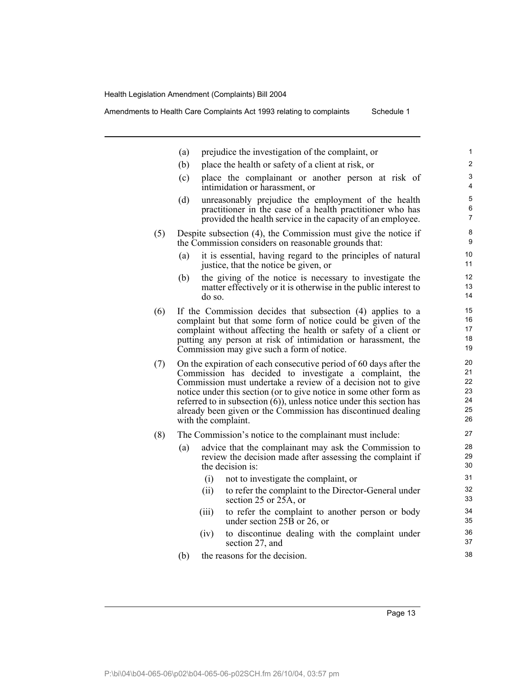|     | (a) |        | prejudice the investigation of the complaint, or                                                                                                                                                                                                                                                                                                                                                                                    | $\mathbf{1}$                           |
|-----|-----|--------|-------------------------------------------------------------------------------------------------------------------------------------------------------------------------------------------------------------------------------------------------------------------------------------------------------------------------------------------------------------------------------------------------------------------------------------|----------------------------------------|
|     | (b) |        | place the health or safety of a client at risk, or                                                                                                                                                                                                                                                                                                                                                                                  | $\overline{2}$                         |
|     | (c) |        | place the complainant or another person at risk of<br>intimidation or harassment, or                                                                                                                                                                                                                                                                                                                                                | 3<br>$\overline{4}$                    |
|     | (d) |        | unreasonably prejudice the employment of the health<br>practitioner in the case of a health practitioner who has<br>provided the health service in the capacity of an employee.                                                                                                                                                                                                                                                     | 5<br>6<br>$\overline{7}$               |
| (5) |     |        | Despite subsection (4), the Commission must give the notice if<br>the Commission considers on reasonable grounds that:                                                                                                                                                                                                                                                                                                              | 8<br>9                                 |
|     | (a) |        | it is essential, having regard to the principles of natural<br>justice, that the notice be given, or                                                                                                                                                                                                                                                                                                                                | 10<br>11                               |
|     | (b) | do so. | the giving of the notice is necessary to investigate the<br>matter effectively or it is otherwise in the public interest to                                                                                                                                                                                                                                                                                                         | 12<br>13<br>14                         |
| (6) |     |        | If the Commission decides that subsection (4) applies to a<br>complaint but that some form of notice could be given of the<br>complaint without affecting the health or safety of a client or<br>putting any person at risk of intimidation or harassment, the<br>Commission may give such a form of notice.                                                                                                                        | 15<br>16<br>17<br>18<br>19             |
| (7) |     |        | On the expiration of each consecutive period of 60 days after the<br>Commission has decided to investigate a complaint, the<br>Commission must undertake a review of a decision not to give<br>notice under this section (or to give notice in some other form as<br>referred to in subsection $(6)$ , unless notice under this section has<br>already been given or the Commission has discontinued dealing<br>with the complaint. | 20<br>21<br>22<br>23<br>24<br>25<br>26 |
| (8) |     |        | The Commission's notice to the complainant must include:                                                                                                                                                                                                                                                                                                                                                                            | 27                                     |
|     | (a) |        | advice that the complainant may ask the Commission to<br>review the decision made after assessing the complaint if<br>the decision is:                                                                                                                                                                                                                                                                                              | 28<br>29<br>30                         |
|     |     | (i)    | not to investigate the complaint, or                                                                                                                                                                                                                                                                                                                                                                                                | 31                                     |
|     |     | (ii)   | to refer the complaint to the Director-General under<br>section 25 or $25\overline{A}$ , or                                                                                                                                                                                                                                                                                                                                         | 32<br>33                               |
|     |     | (iii)  | to refer the complaint to another person or body<br>under section $25\overline{B}$ or 26, or                                                                                                                                                                                                                                                                                                                                        | 34<br>35                               |
|     |     | (iv)   | to discontinue dealing with the complaint under<br>section 27, and                                                                                                                                                                                                                                                                                                                                                                  | 36<br>37                               |
|     | (b) |        | the reasons for the decision.                                                                                                                                                                                                                                                                                                                                                                                                       | 38                                     |
|     |     |        |                                                                                                                                                                                                                                                                                                                                                                                                                                     |                                        |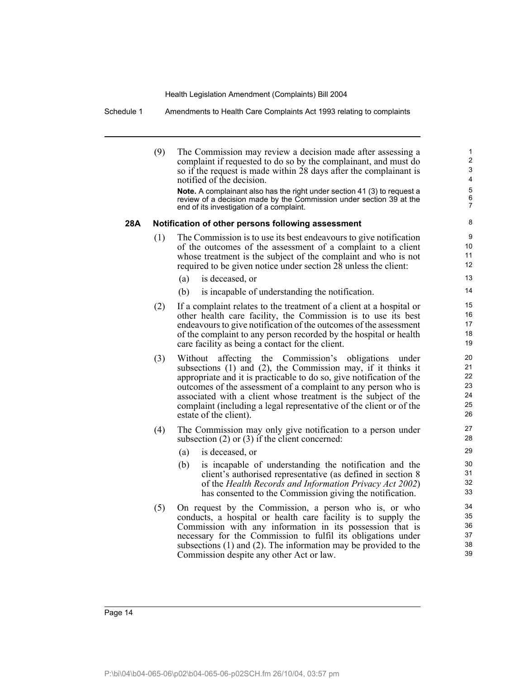#### Schedule 1 Amendments to Health Care Complaints Act 1993 relating to complaints

|     | (9) | The Commission may review a decision made after assessing a<br>complaint if requested to do so by the complainant, and must do<br>so if the request is made within 28 days after the complainant is<br>notified of the decision.<br>Note. A complainant also has the right under section 41 (3) to request a<br>review of a decision made by the Commission under section 39 at the                                                             | 1<br>$\overline{c}$<br>$\ensuremath{\mathsf{3}}$<br>4<br>5<br>6 |
|-----|-----|-------------------------------------------------------------------------------------------------------------------------------------------------------------------------------------------------------------------------------------------------------------------------------------------------------------------------------------------------------------------------------------------------------------------------------------------------|-----------------------------------------------------------------|
|     |     | end of its investigation of a complaint.                                                                                                                                                                                                                                                                                                                                                                                                        | $\overline{7}$                                                  |
| 28A |     | Notification of other persons following assessment                                                                                                                                                                                                                                                                                                                                                                                              | 8                                                               |
|     | (1) | The Commission is to use its best endeavours to give notification<br>of the outcomes of the assessment of a complaint to a client<br>whose treatment is the subject of the complaint and who is not<br>required to be given notice under section 28 unless the client:                                                                                                                                                                          | 9<br>10<br>11<br>12                                             |
|     |     | (a)<br>is deceased, or                                                                                                                                                                                                                                                                                                                                                                                                                          | 13                                                              |
|     |     | is incapable of understanding the notification.<br>(b)                                                                                                                                                                                                                                                                                                                                                                                          | 14                                                              |
|     | (2) | If a complaint relates to the treatment of a client at a hospital or<br>other health care facility, the Commission is to use its best<br>endeavours to give notification of the outcomes of the assessment<br>of the complaint to any person recorded by the hospital or health<br>care facility as being a contact for the client.                                                                                                             | 15<br>16<br>17<br>18<br>19                                      |
|     | (3) | Without<br>affecting the Commission's<br>obligations<br>under<br>subsections $(1)$ and $(2)$ , the Commission may, if it thinks it<br>appropriate and it is practicable to do so, give notification of the<br>outcomes of the assessment of a complaint to any person who is<br>associated with a client whose treatment is the subject of the<br>complaint (including a legal representative of the client or of the<br>estate of the client). | 20<br>21<br>22<br>23<br>24<br>25<br>26                          |
|     | (4) | The Commission may only give notification to a person under<br>subsection $(2)$ or $(3)$ if the client concerned:                                                                                                                                                                                                                                                                                                                               | 27<br>28                                                        |
|     |     | (a)<br>is deceased, or                                                                                                                                                                                                                                                                                                                                                                                                                          | 29                                                              |
|     |     | is incapable of understanding the notification and the<br>(b)<br>client's authorised representative (as defined in section 8)<br>of the Health Records and Information Privacy Act 2002)<br>has consented to the Commission giving the notification.                                                                                                                                                                                            | 30<br>31<br>32<br>33                                            |
|     | (5) | On request by the Commission, a person who is, or who<br>conducts, a hospital or health care facility is to supply the<br>Commission with any information in its possession that is<br>necessary for the Commission to fulfil its obligations under<br>subsections $(1)$ and $(2)$ . The information may be provided to the<br>Commission despite any other Act or law.                                                                         | 34<br>35<br>36<br>37<br>38<br>39                                |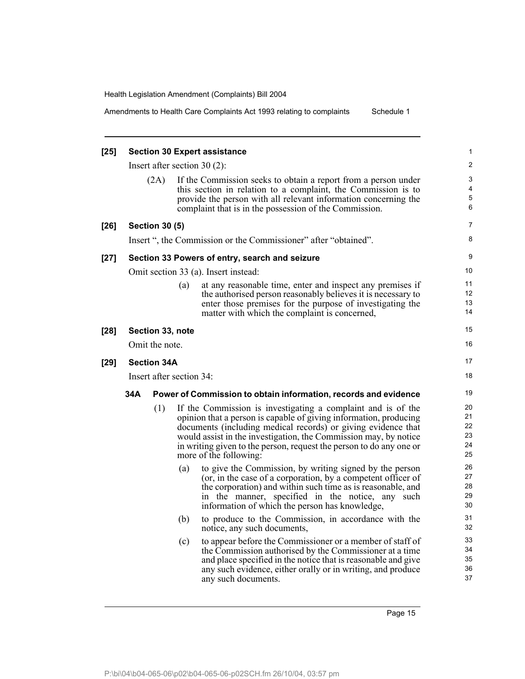| $[25]$ | <b>Section 30 Expert assistance</b> |                       |                          |                                                                                                                                                                                                                                                                                                                                                                         |                                  |  |
|--------|-------------------------------------|-----------------------|--------------------------|-------------------------------------------------------------------------------------------------------------------------------------------------------------------------------------------------------------------------------------------------------------------------------------------------------------------------------------------------------------------------|----------------------------------|--|
|        |                                     |                       |                          | Insert after section $30(2)$ :                                                                                                                                                                                                                                                                                                                                          | $\overline{c}$                   |  |
|        |                                     | (2A)                  |                          | If the Commission seeks to obtain a report from a person under<br>this section in relation to a complaint, the Commission is to<br>provide the person with all relevant information concerning the<br>complaint that is in the possession of the Commission.                                                                                                            | 3<br>4<br>$\mathbf 5$<br>6       |  |
| $[26]$ |                                     | <b>Section 30 (5)</b> |                          |                                                                                                                                                                                                                                                                                                                                                                         | 7                                |  |
|        |                                     |                       |                          | Insert ", the Commission or the Commissioner" after "obtained".                                                                                                                                                                                                                                                                                                         | 8                                |  |
| $[27]$ |                                     |                       |                          | Section 33 Powers of entry, search and seizure                                                                                                                                                                                                                                                                                                                          | 9                                |  |
|        |                                     |                       |                          | Omit section 33 (a). Insert instead:                                                                                                                                                                                                                                                                                                                                    | 10                               |  |
|        |                                     |                       | (a)                      | at any reasonable time, enter and inspect any premises if<br>the authorised person reasonably believes it is necessary to<br>enter those premises for the purpose of investigating the<br>matter with which the complaint is concerned,                                                                                                                                 | 11<br>12<br>13<br>14             |  |
| [28]   |                                     |                       | Section 33, note         |                                                                                                                                                                                                                                                                                                                                                                         | 15                               |  |
|        | Omit the note.                      |                       |                          |                                                                                                                                                                                                                                                                                                                                                                         | 16                               |  |
| $[29]$ |                                     | <b>Section 34A</b>    |                          |                                                                                                                                                                                                                                                                                                                                                                         | 17                               |  |
|        |                                     |                       | Insert after section 34: |                                                                                                                                                                                                                                                                                                                                                                         | 18                               |  |
|        | 34A                                 |                       |                          | Power of Commission to obtain information, records and evidence                                                                                                                                                                                                                                                                                                         | 19                               |  |
|        |                                     | (1)                   |                          | If the Commission is investigating a complaint and is of the<br>opinion that a person is capable of giving information, producing<br>documents (including medical records) or giving evidence that<br>would assist in the investigation, the Commission may, by notice<br>in writing given to the person, request the person to do any one or<br>more of the following: | 20<br>21<br>22<br>23<br>24<br>25 |  |
|        |                                     |                       | (a)                      | to give the Commission, by writing signed by the person<br>(or, in the case of a corporation, by a competent officer of<br>the corporation) and within such time as is reasonable, and<br>in the manner, specified in the notice, any such<br>information of which the person has knowledge,                                                                            | 26<br>27<br>28<br>29<br>30       |  |
|        |                                     |                       | (b)                      | to produce to the Commission, in accordance with the<br>notice, any such documents,                                                                                                                                                                                                                                                                                     | 31<br>32                         |  |
|        |                                     |                       | (c)                      | to appear before the Commissioner or a member of staff of<br>the Commission authorised by the Commissioner at a time<br>and place specified in the notice that is reasonable and give<br>any such evidence, either orally or in writing, and produce<br>any such documents.                                                                                             | 33<br>34<br>35<br>36<br>37       |  |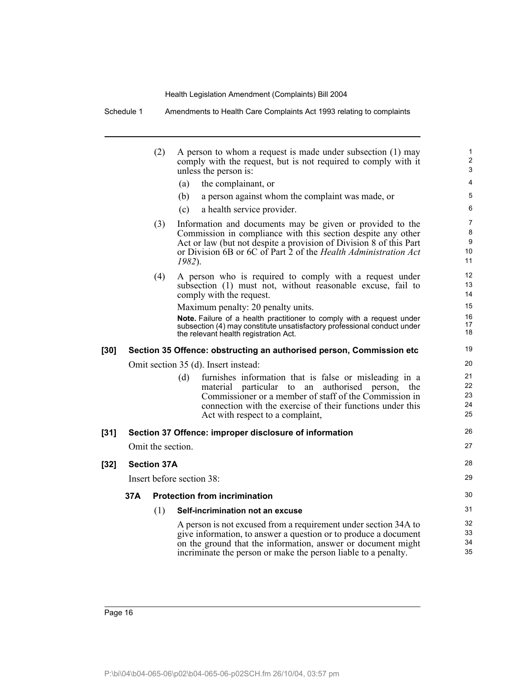|        | (2)                | A person to whom a request is made under subsection (1) may<br>comply with the request, but is not required to comply with it<br>unless the person is:                                                                                                                                       |
|--------|--------------------|----------------------------------------------------------------------------------------------------------------------------------------------------------------------------------------------------------------------------------------------------------------------------------------------|
|        |                    | the complainant, or<br>(a)                                                                                                                                                                                                                                                                   |
|        |                    | (b)<br>a person against whom the complaint was made, or                                                                                                                                                                                                                                      |
|        |                    | a health service provider.<br>(c)                                                                                                                                                                                                                                                            |
|        | (3)                | Information and documents may be given or provided to the<br>Commission in compliance with this section despite any other<br>Act or law (but not despite a provision of Division 8 of this Part<br>or Division 6B or 6C of Part 2 of the Health Administration Act<br>1982).                 |
|        | (4)                | A person who is required to comply with a request under<br>subsection (1) must not, without reasonable excuse, fail to<br>comply with the request.                                                                                                                                           |
|        |                    | Maximum penalty: 20 penalty units.                                                                                                                                                                                                                                                           |
|        |                    | Note. Failure of a health practitioner to comply with a request under<br>subsection (4) may constitute unsatisfactory professional conduct under<br>the relevant health registration Act.                                                                                                    |
| $[30]$ |                    | Section 35 Offence: obstructing an authorised person, Commission etc                                                                                                                                                                                                                         |
|        |                    | Omit section 35 (d). Insert instead:                                                                                                                                                                                                                                                         |
|        |                    | furnishes information that is false or misleading in a<br>(d)<br>material particular<br>authorised<br>person,<br>to<br>an<br>the<br>Commissioner or a member of staff of the Commission in<br>connection with the exercise of their functions under this<br>Act with respect to a complaint, |
| $[31]$ |                    | Section 37 Offence: improper disclosure of information                                                                                                                                                                                                                                       |
|        | Omit the section.  |                                                                                                                                                                                                                                                                                              |
| $[32]$ | <b>Section 37A</b> |                                                                                                                                                                                                                                                                                              |
|        |                    | Insert before section 38:                                                                                                                                                                                                                                                                    |
|        | 37A                | <b>Protection from incrimination</b>                                                                                                                                                                                                                                                         |
|        | (1)                | Self-incrimination not an excuse                                                                                                                                                                                                                                                             |
|        |                    | A person is not excused from a requirement under section 34A to<br>give information, to answer a question or to produce a document<br>on the ground that the information, answer or document might                                                                                           |

Schedule 1 Amendments to Health Care Complaints Act 1993 relating to complaints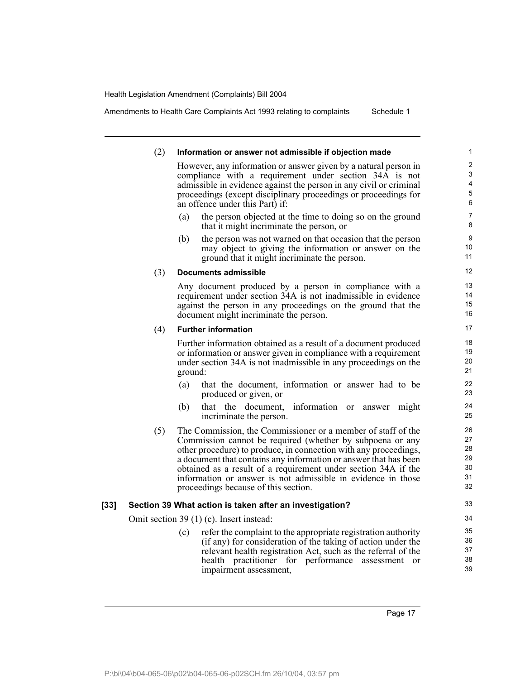Amendments to Health Care Complaints Act 1993 relating to complaints Schedule 1

(2) **Information or answer not admissible if objection made**

#### However, any information or answer given by a natural person in compliance with a requirement under section 34A is not admissible in evidence against the person in any civil or criminal proceedings (except disciplinary proceedings or proceedings for an offence under this Part) if: (a) the person objected at the time to doing so on the ground that it might incriminate the person, or (b) the person was not warned on that occasion that the person

may object to giving the information or answer on the ground that it might incriminate the person.

#### (3) **Documents admissible**

Any document produced by a person in compliance with a requirement under section 34A is not inadmissible in evidence against the person in any proceedings on the ground that the document might incriminate the person.

#### (4) **Further information**

Further information obtained as a result of a document produced or information or answer given in compliance with a requirement under section 34A is not inadmissible in any proceedings on the ground:

- (a) that the document, information or answer had to be produced or given, or
- (b) that the document, information or answer might incriminate the person.
- (5) The Commission, the Commissioner or a member of staff of the Commission cannot be required (whether by subpoena or any other procedure) to produce, in connection with any proceedings, a document that contains any information or answer that has been obtained as a result of a requirement under section 34A if the information or answer is not admissible in evidence in those proceedings because of this section.

#### **[33] Section 39 What action is taken after an investigation?**

Omit section 39 (1) (c). Insert instead:

(c) refer the complaint to the appropriate registration authority (if any) for consideration of the taking of action under the relevant health registration Act, such as the referral of the health practitioner for performance assessment or impairment assessment,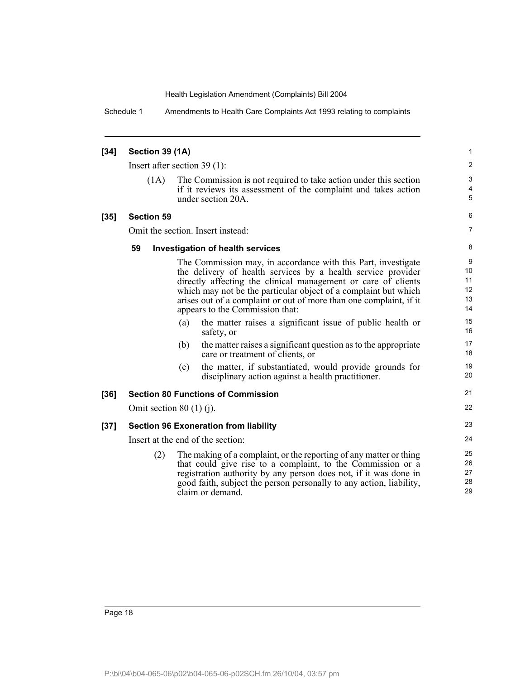Schedule 1 Amendments to Health Care Complaints Act 1993 relating to complaints

| $[34]$ | Section 39 (1A) |                            |     |                                                                                                                                                                                                                                                                                                                                                                            |                                 |  |
|--------|-----------------|----------------------------|-----|----------------------------------------------------------------------------------------------------------------------------------------------------------------------------------------------------------------------------------------------------------------------------------------------------------------------------------------------------------------------------|---------------------------------|--|
|        |                 |                            |     | Insert after section $39(1)$ :                                                                                                                                                                                                                                                                                                                                             | $\overline{\mathbf{c}}$         |  |
|        |                 | (1A)                       |     | The Commission is not required to take action under this section<br>if it reviews its assessment of the complaint and takes action<br>under section 20A.                                                                                                                                                                                                                   | 3<br>$\overline{4}$<br>5        |  |
| $[35]$ |                 | <b>Section 59</b>          |     |                                                                                                                                                                                                                                                                                                                                                                            | 6                               |  |
|        |                 |                            |     | Omit the section. Insert instead:                                                                                                                                                                                                                                                                                                                                          | 7                               |  |
|        | 59              |                            |     | <b>Investigation of health services</b>                                                                                                                                                                                                                                                                                                                                    | 8                               |  |
|        |                 |                            |     | The Commission may, in accordance with this Part, investigate<br>the delivery of health services by a health service provider<br>directly affecting the clinical management or care of clients<br>which may not be the particular object of a complaint but which<br>arises out of a complaint or out of more than one complaint, if it<br>appears to the Commission that: | 9<br>10<br>11<br>12<br>13<br>14 |  |
|        |                 |                            | (a) | the matter raises a significant issue of public health or<br>safety, or                                                                                                                                                                                                                                                                                                    | 15<br>16                        |  |
|        |                 |                            | (b) | the matter raises a significant question as to the appropriate<br>care or treatment of clients, or                                                                                                                                                                                                                                                                         | 17<br>18                        |  |
|        |                 |                            | (c) | the matter, if substantiated, would provide grounds for<br>disciplinary action against a health practitioner.                                                                                                                                                                                                                                                              | 19<br>20                        |  |
| $[36]$ |                 |                            |     | <b>Section 80 Functions of Commission</b>                                                                                                                                                                                                                                                                                                                                  | 21                              |  |
|        |                 | Omit section 80 $(1)$ (j). |     |                                                                                                                                                                                                                                                                                                                                                                            | 22                              |  |
| $[37]$ |                 |                            |     | <b>Section 96 Exoneration from liability</b>                                                                                                                                                                                                                                                                                                                               | 23                              |  |
|        |                 |                            |     | Insert at the end of the section:                                                                                                                                                                                                                                                                                                                                          | 24                              |  |
|        |                 | (2)                        |     | The making of a complaint, or the reporting of any matter or thing<br>that could give rise to a complaint, to the Commission or a<br>registration authority by any person does not, if it was done in<br>good faith, subject the person personally to any action, liability,<br>claim or demand.                                                                           | 25<br>26<br>27<br>28<br>29      |  |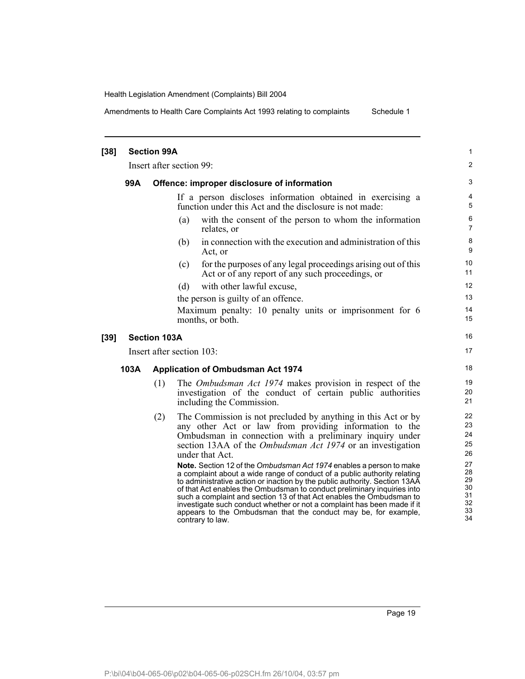Amendments to Health Care Complaints Act 1993 relating to complaints Schedule 1

| $[38]$ | <b>Section 99A</b>        |                     |                                                                                                                                                                                                                                                                                                                                                                                                                                                                                                                                                   |                                              |  |  |
|--------|---------------------------|---------------------|---------------------------------------------------------------------------------------------------------------------------------------------------------------------------------------------------------------------------------------------------------------------------------------------------------------------------------------------------------------------------------------------------------------------------------------------------------------------------------------------------------------------------------------------------|----------------------------------------------|--|--|
|        |                           |                     | Insert after section 99:                                                                                                                                                                                                                                                                                                                                                                                                                                                                                                                          | $\overline{c}$                               |  |  |
|        | 99A                       |                     | Offence: improper disclosure of information                                                                                                                                                                                                                                                                                                                                                                                                                                                                                                       | 3                                            |  |  |
|        |                           |                     | If a person discloses information obtained in exercising a<br>function under this Act and the disclosure is not made:                                                                                                                                                                                                                                                                                                                                                                                                                             | $\overline{\mathbf{4}}$<br>5                 |  |  |
|        |                           |                     | with the consent of the person to whom the information<br>(a)<br>relates, or                                                                                                                                                                                                                                                                                                                                                                                                                                                                      | 6<br>$\overline{7}$                          |  |  |
|        |                           |                     | in connection with the execution and administration of this<br>(b)<br>Act, or                                                                                                                                                                                                                                                                                                                                                                                                                                                                     | 8<br>9                                       |  |  |
|        |                           |                     | for the purposes of any legal proceedings arising out of this<br>(c)<br>Act or of any report of any such proceedings, or                                                                                                                                                                                                                                                                                                                                                                                                                          | 10<br>11                                     |  |  |
|        |                           |                     | with other lawful excuse,<br>(d)                                                                                                                                                                                                                                                                                                                                                                                                                                                                                                                  | 12                                           |  |  |
|        |                           |                     | the person is guilty of an offence.                                                                                                                                                                                                                                                                                                                                                                                                                                                                                                               | 13                                           |  |  |
|        |                           |                     | Maximum penalty: 10 penalty units or imprisonment for 6<br>months, or both.                                                                                                                                                                                                                                                                                                                                                                                                                                                                       | 14<br>15                                     |  |  |
| [39]   |                           | <b>Section 103A</b> |                                                                                                                                                                                                                                                                                                                                                                                                                                                                                                                                                   | 16                                           |  |  |
|        | Insert after section 103: |                     |                                                                                                                                                                                                                                                                                                                                                                                                                                                                                                                                                   |                                              |  |  |
|        | 103A                      |                     | <b>Application of Ombudsman Act 1974</b>                                                                                                                                                                                                                                                                                                                                                                                                                                                                                                          | 18                                           |  |  |
|        |                           | (1)                 | The Ombudsman Act 1974 makes provision in respect of the<br>investigation of the conduct of certain public authorities<br>including the Commission.                                                                                                                                                                                                                                                                                                                                                                                               | 19<br>20<br>21                               |  |  |
|        |                           | (2)                 | The Commission is not precluded by anything in this Act or by<br>any other Act or law from providing information to the<br>Ombudsman in connection with a preliminary inquiry under<br>section 13AA of the <i>Ombudsman Act 1974</i> or an investigation<br>under that Act.                                                                                                                                                                                                                                                                       | 22<br>23<br>24<br>25<br>26                   |  |  |
|        |                           |                     | Note. Section 12 of the Ombudsman Act 1974 enables a person to make<br>a complaint about a wide range of conduct of a public authority relating<br>to administrative action or inaction by the public authority. Section 13AA<br>of that Act enables the Ombudsman to conduct preliminary inquiries into<br>such a complaint and section 13 of that Act enables the Ombudsman to<br>investigate such conduct whether or not a complaint has been made if it<br>appears to the Ombudsman that the conduct may be, for example,<br>contrary to law. | 27<br>28<br>29<br>30<br>31<br>32<br>33<br>34 |  |  |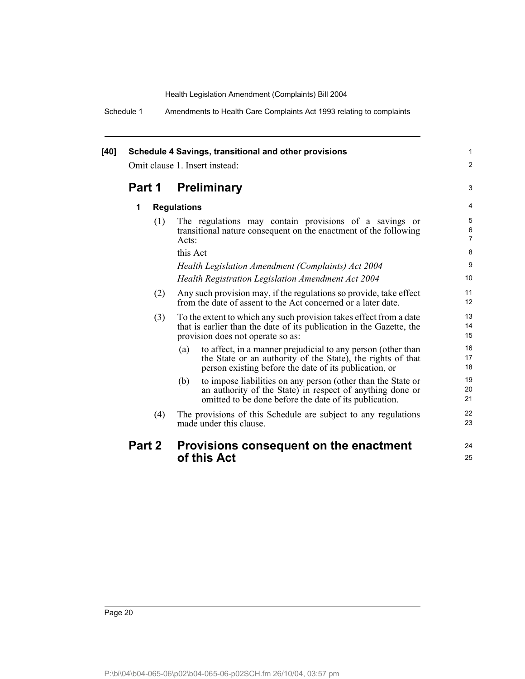Schedule 1 Amendments to Health Care Complaints Act 1993 relating to complaints

| $[40]$ | Schedule 4 Savings, transitional and other provisions |     |                                                                                                                                                                                              |                              |  |
|--------|-------------------------------------------------------|-----|----------------------------------------------------------------------------------------------------------------------------------------------------------------------------------------------|------------------------------|--|
|        | Omit clause 1. Insert instead:                        |     |                                                                                                                                                                                              |                              |  |
|        | Part 1                                                |     | <b>Preliminary</b>                                                                                                                                                                           | 3                            |  |
|        | 1                                                     |     | <b>Regulations</b>                                                                                                                                                                           | 4                            |  |
|        |                                                       | (1) | The regulations may contain provisions of a savings or<br>transitional nature consequent on the enactment of the following<br>Acts:                                                          | 5<br>$\,6$<br>$\overline{7}$ |  |
|        |                                                       |     | this Act                                                                                                                                                                                     | 8                            |  |
|        |                                                       |     | Health Legislation Amendment (Complaints) Act 2004                                                                                                                                           | 9                            |  |
|        |                                                       |     | Health Registration Legislation Amendment Act 2004                                                                                                                                           | 10                           |  |
|        |                                                       | (2) | Any such provision may, if the regulations so provide, take effect<br>from the date of assent to the Act concerned or a later date.                                                          | 11<br>12                     |  |
|        |                                                       | (3) | To the extent to which any such provision takes effect from a date<br>that is earlier than the date of its publication in the Gazette, the<br>provision does not operate so as:              | 13<br>14<br>15               |  |
|        |                                                       |     | to affect, in a manner prejudicial to any person (other than<br>(a)<br>the State or an authority of the State), the rights of that<br>person existing before the date of its publication, or | 16<br>17<br>18               |  |
|        |                                                       |     | to impose liabilities on any person (other than the State or<br>(b)<br>an authority of the State) in respect of anything done or<br>omitted to be done before the date of its publication.   | 19<br>20<br>21               |  |
|        |                                                       | (4) | The provisions of this Schedule are subject to any regulations<br>made under this clause.                                                                                                    | 22<br>23                     |  |
|        | Part 2                                                |     | Provisions consequent on the enactment                                                                                                                                                       | 24                           |  |
|        |                                                       |     | of this Act                                                                                                                                                                                  | 25                           |  |
|        |                                                       |     |                                                                                                                                                                                              |                              |  |

P:\bi\04\b04-065-06\p02\b04-065-06-p02SCH.fm 26/10/04, 03:57 pm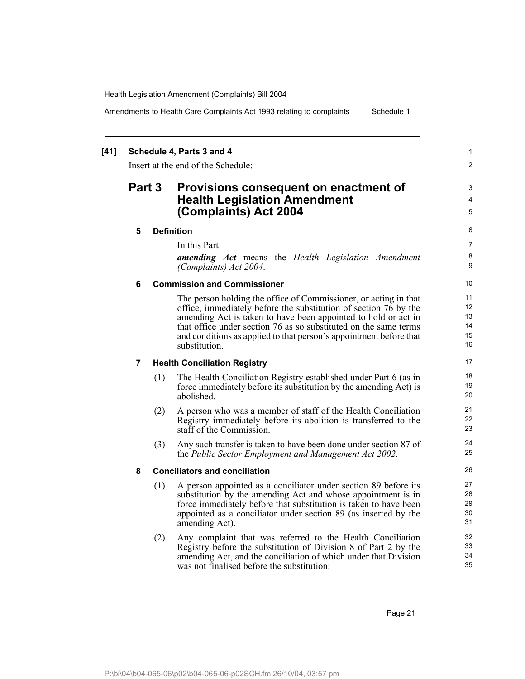Amendments to Health Care Complaints Act 1993 relating to complaints Schedule 1

| $[41]$ | Schedule 4, Parts 3 and 4          |     |                                                                                                                                                                                                                                                                                                                                                                   |                                  |  |  |  |
|--------|------------------------------------|-----|-------------------------------------------------------------------------------------------------------------------------------------------------------------------------------------------------------------------------------------------------------------------------------------------------------------------------------------------------------------------|----------------------------------|--|--|--|
|        | Insert at the end of the Schedule: |     |                                                                                                                                                                                                                                                                                                                                                                   |                                  |  |  |  |
|        | Part 3                             |     | Provisions consequent on enactment of<br><b>Health Legislation Amendment</b><br>(Complaints) Act 2004                                                                                                                                                                                                                                                             | 3<br>4<br>5                      |  |  |  |
|        | 5                                  |     | <b>Definition</b>                                                                                                                                                                                                                                                                                                                                                 | 6                                |  |  |  |
|        |                                    |     | In this Part:<br><b>amending Act</b> means the Health Legislation Amendment<br>(Complaints) Act 2004.                                                                                                                                                                                                                                                             | 7<br>8<br>9                      |  |  |  |
|        | 6                                  |     | <b>Commission and Commissioner</b>                                                                                                                                                                                                                                                                                                                                | 10                               |  |  |  |
|        |                                    |     | The person holding the office of Commissioner, or acting in that<br>office, immediately before the substitution of section 76 by the<br>amending Act is taken to have been appointed to hold or act in<br>that office under section 76 as so substituted on the same terms<br>and conditions as applied to that person's appointment before that<br>substitution. | 11<br>12<br>13<br>14<br>15<br>16 |  |  |  |
|        | 7                                  |     | <b>Health Conciliation Registry</b>                                                                                                                                                                                                                                                                                                                               | 17                               |  |  |  |
|        |                                    | (1) | The Health Conciliation Registry established under Part 6 (as in<br>force immediately before its substitution by the amending Act) is<br>abolished.                                                                                                                                                                                                               | 18<br>19<br>20                   |  |  |  |
|        |                                    | (2) | A person who was a member of staff of the Health Conciliation<br>Registry immediately before its abolition is transferred to the<br>staff of the Commission.                                                                                                                                                                                                      | 21<br>22<br>23                   |  |  |  |
|        |                                    | (3) | Any such transfer is taken to have been done under section 87 of<br>the Public Sector Employment and Management Act 2002.                                                                                                                                                                                                                                         | 24<br>25                         |  |  |  |
|        | 8                                  |     | <b>Conciliators and conciliation</b>                                                                                                                                                                                                                                                                                                                              | 26                               |  |  |  |
|        |                                    | (1) | A person appointed as a conciliator under section 89 before its<br>substitution by the amending Act and whose appointment is in<br>force immediately before that substitution is taken to have been<br>appointed as a conciliator under section 89 (as inserted by the<br>amending Act).                                                                          | 27<br>28<br>29<br>30<br>31       |  |  |  |
|        |                                    | (2) | Any complaint that was referred to the Health Conciliation<br>Registry before the substitution of Division 8 of Part 2 by the<br>amending Act, and the conciliation of which under that Division<br>was not finalised before the substitution:                                                                                                                    | 32<br>33<br>34<br>35             |  |  |  |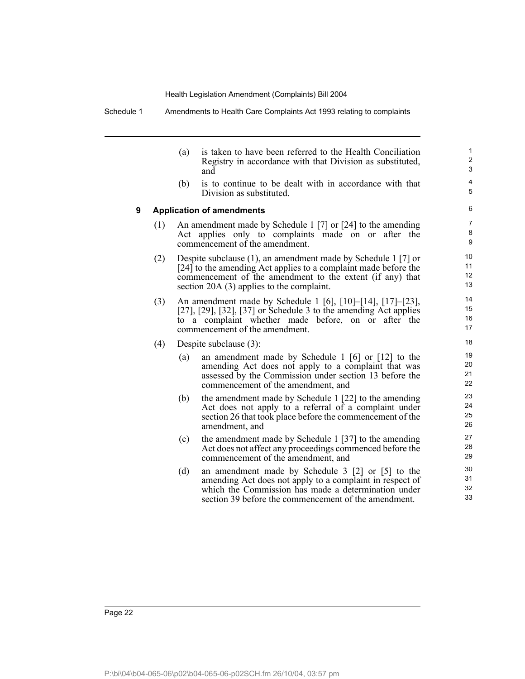Schedule 1 Amendments to Health Care Complaints Act 1993 relating to complaints

(a) is taken to have been referred to the Health Conciliation Registry in accordance with that Division as substituted, and

(b) is to continue to be dealt with in accordance with that Division as substituted.

#### **9 Application of amendments**

- (1) An amendment made by Schedule 1 [7] or [24] to the amending Act applies only to complaints made on or after the commencement of the amendment.
- (2) Despite subclause (1), an amendment made by Schedule 1 [7] or [24] to the amending Act applies to a complaint made before the commencement of the amendment to the extent (if any) that section 20A (3) applies to the complaint.
- (3) An amendment made by Schedule 1 [6], [10]–[14], [17]–[23], [27], [29], [32], [37] or Schedule 3 to the amending Act applies to a complaint whether made before, on or after the commencement of the amendment.
- (4) Despite subclause (3):
	- (a) an amendment made by Schedule 1 [6] or [12] to the amending Act does not apply to a complaint that was assessed by the Commission under section 13 before the commencement of the amendment, and
	- (b) the amendment made by Schedule 1 [22] to the amending Act does not apply to a referral of a complaint under section 26 that took place before the commencement of the amendment, and
	- (c) the amendment made by Schedule 1 [37] to the amending Act does not affect any proceedings commenced before the commencement of the amendment, and
	- (d) an amendment made by Schedule 3 [2] or [5] to the amending Act does not apply to a complaint in respect of which the Commission has made a determination under section 39 before the commencement of the amendment.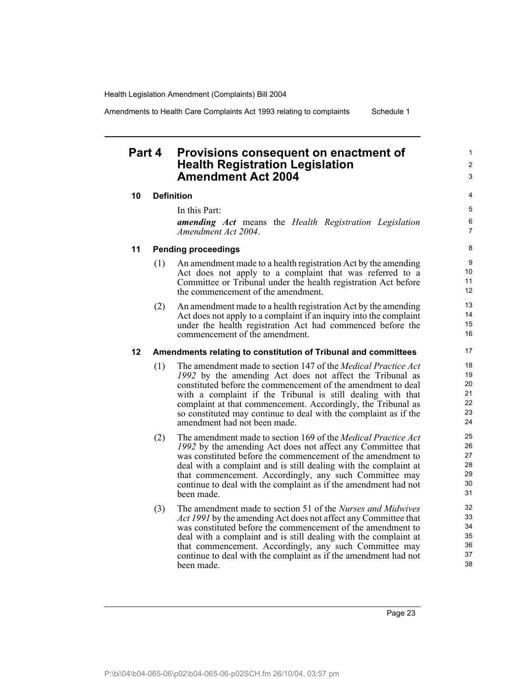Amendments to Health Care Complaints Act 1993 relating to complaints Schedule 1

## **Part 4 Provisions consequent on enactment of Health Registration Legislation Amendment Act 2004**

#### **10 Definition**

In this Part: *amending Act* means the *Health Registration Legislation Amendment Act 2004*.

#### **11 Pending proceedings**

- (1) An amendment made to a health registration Act by the amending Act does not apply to a complaint that was referred to a Committee or Tribunal under the health registration Act before the commencement of the amendment.
- (2) An amendment made to a health registration Act by the amending Act does not apply to a complaint if an inquiry into the complaint under the health registration Act had commenced before the commencement of the amendment.

#### **12 Amendments relating to constitution of Tribunal and committees**

- (1) The amendment made to section 147 of the *Medical Practice Act 1992* by the amending Act does not affect the Tribunal as constituted before the commencement of the amendment to deal with a complaint if the Tribunal is still dealing with that complaint at that commencement. Accordingly, the Tribunal as so constituted may continue to deal with the complaint as if the amendment had not been made.
- (2) The amendment made to section 169 of the *Medical Practice Act 1992* by the amending Act does not affect any Committee that was constituted before the commencement of the amendment to deal with a complaint and is still dealing with the complaint at that commencement. Accordingly, any such Committee may continue to deal with the complaint as if the amendment had not been made.
- (3) The amendment made to section 51 of the *Nurses and Midwives Act 1991* by the amending Act does not affect any Committee that was constituted before the commencement of the amendment to deal with a complaint and is still dealing with the complaint at that commencement. Accordingly, any such Committee may continue to deal with the complaint as if the amendment had not been made.

1 2 3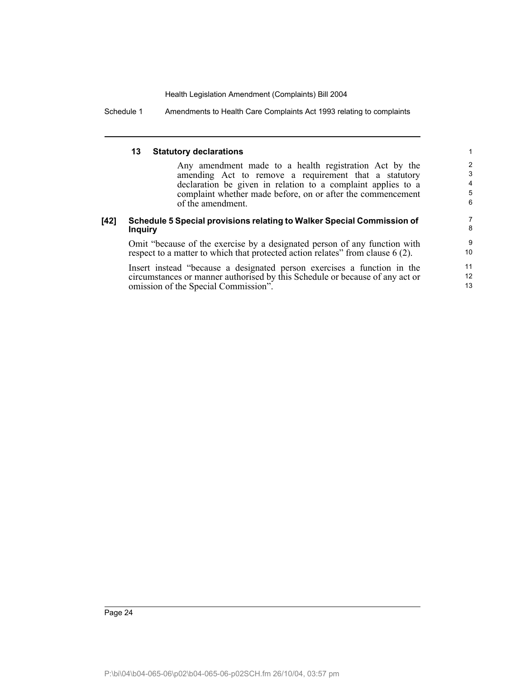Schedule 1 Amendments to Health Care Complaints Act 1993 relating to complaints

#### **13 Statutory declarations**

Any amendment made to a health registration Act by the amending Act to remove a requirement that a statutory declaration be given in relation to a complaint applies to a complaint whether made before, on or after the commencement of the amendment.

#### **[42] Schedule 5 Special provisions relating to Walker Special Commission of Inquiry**

Omit "because of the exercise by a designated person of any function with respect to a matter to which that protected action relates" from clause 6 (2).

Insert instead "because a designated person exercises a function in the circumstances or manner authorised by this Schedule or because of any act or omission of the Special Commission".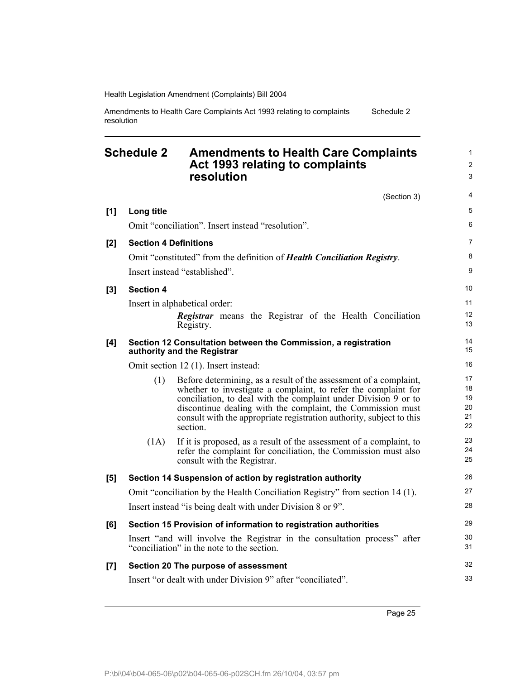Amendments to Health Care Complaints Act 1993 relating to complaints resolution Schedule 2

## **Schedule 2 Amendments to Health Care Complaints Act 1993 relating to complaints resolution**

(Section 3)

1 2 3

4

| [1]   | Long title                   |                                                                                                                                                                                                                                                                                                                                                           | $\mathbf 5$                      |
|-------|------------------------------|-----------------------------------------------------------------------------------------------------------------------------------------------------------------------------------------------------------------------------------------------------------------------------------------------------------------------------------------------------------|----------------------------------|
|       |                              | Omit "conciliation". Insert instead "resolution".                                                                                                                                                                                                                                                                                                         | 6                                |
| [2]   | <b>Section 4 Definitions</b> |                                                                                                                                                                                                                                                                                                                                                           | $\overline{7}$                   |
|       |                              | Omit "constituted" from the definition of Health Conciliation Registry.                                                                                                                                                                                                                                                                                   | 8                                |
|       |                              | Insert instead "established".                                                                                                                                                                                                                                                                                                                             | $\boldsymbol{9}$                 |
| [3]   | <b>Section 4</b>             |                                                                                                                                                                                                                                                                                                                                                           | 10                               |
|       |                              | Insert in alphabetical order:                                                                                                                                                                                                                                                                                                                             | 11                               |
|       |                              | <b>Registrar</b> means the Registrar of the Health Conciliation<br>Registry.                                                                                                                                                                                                                                                                              | 12<br>13                         |
| [4]   |                              | Section 12 Consultation between the Commission, a registration<br>authority and the Registrar                                                                                                                                                                                                                                                             | 14<br>15                         |
|       |                              | Omit section 12 (1). Insert instead:                                                                                                                                                                                                                                                                                                                      | 16                               |
|       | (1)                          | Before determining, as a result of the assessment of a complaint,<br>whether to investigate a complaint, to refer the complaint for<br>conciliation, to deal with the complaint under Division 9 or to<br>discontinue dealing with the complaint, the Commission must<br>consult with the appropriate registration authority, subject to this<br>section. | 17<br>18<br>19<br>20<br>21<br>22 |
|       | (1A)                         | If it is proposed, as a result of the assessment of a complaint, to<br>refer the complaint for conciliation, the Commission must also<br>consult with the Registrar.                                                                                                                                                                                      | 23<br>24<br>25                   |
| [5]   |                              | Section 14 Suspension of action by registration authority                                                                                                                                                                                                                                                                                                 | 26                               |
|       |                              | Omit "conciliation by the Health Conciliation Registry" from section 14 (1).                                                                                                                                                                                                                                                                              | 27                               |
|       |                              | Insert instead "is being dealt with under Division 8 or 9".                                                                                                                                                                                                                                                                                               | 28                               |
| [6]   |                              | Section 15 Provision of information to registration authorities                                                                                                                                                                                                                                                                                           | 29                               |
|       |                              | Insert "and will involve the Registrar in the consultation process" after<br>"conciliation" in the note to the section.                                                                                                                                                                                                                                   | 30<br>31                         |
| $[7]$ |                              | Section 20 The purpose of assessment                                                                                                                                                                                                                                                                                                                      | 32                               |
|       |                              | Insert "or dealt with under Division 9" after "conciliated".                                                                                                                                                                                                                                                                                              | 33                               |

Page 25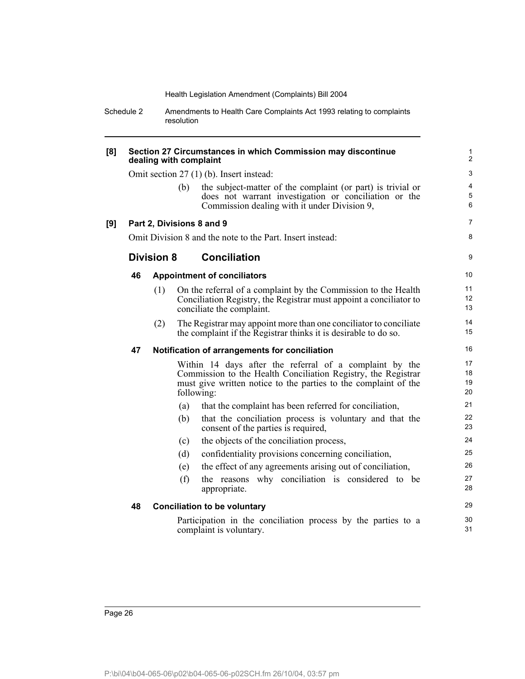Schedule 2 Amendments to Health Care Complaints Act 1993 relating to complaints resolution

| [8] | Section 27 Circumstances in which Commission may discontinue<br>dealing with complaint |                   |     |                                                                                                                                                                                                           |                      |  |
|-----|----------------------------------------------------------------------------------------|-------------------|-----|-----------------------------------------------------------------------------------------------------------------------------------------------------------------------------------------------------------|----------------------|--|
|     |                                                                                        |                   |     | Omit section 27 (1) (b). Insert instead:                                                                                                                                                                  | 3                    |  |
|     |                                                                                        |                   | (b) | the subject-matter of the complaint (or part) is trivial or<br>does not warrant investigation or conciliation or the<br>Commission dealing with it under Division 9,                                      | 4<br>5<br>6          |  |
| [9] |                                                                                        |                   |     | Part 2, Divisions 8 and 9                                                                                                                                                                                 | $\overline{7}$       |  |
|     |                                                                                        |                   |     | Omit Division 8 and the note to the Part. Insert instead:                                                                                                                                                 | 8                    |  |
|     |                                                                                        | <b>Division 8</b> |     | <b>Conciliation</b>                                                                                                                                                                                       | 9                    |  |
|     | 46                                                                                     |                   |     | <b>Appointment of conciliators</b>                                                                                                                                                                        | 10                   |  |
|     |                                                                                        | (1)               |     | On the referral of a complaint by the Commission to the Health<br>Conciliation Registry, the Registrar must appoint a conciliator to<br>conciliate the complaint.                                         | 11<br>12<br>13       |  |
|     |                                                                                        | (2)               |     | The Registrar may appoint more than one conciliator to conciliate<br>the complaint if the Registrar thinks it is desirable to do so.                                                                      | 14<br>15             |  |
|     | 47                                                                                     |                   |     | Notification of arrangements for conciliation                                                                                                                                                             | 16                   |  |
|     |                                                                                        |                   |     | Within 14 days after the referral of a complaint by the<br>Commission to the Health Conciliation Registry, the Registrar<br>must give written notice to the parties to the complaint of the<br>following: | 17<br>18<br>19<br>20 |  |
|     |                                                                                        |                   | (a) | that the complaint has been referred for conciliation,                                                                                                                                                    | 21                   |  |
|     |                                                                                        |                   | (b) | that the conciliation process is voluntary and that the<br>consent of the parties is required,                                                                                                            | 22<br>23             |  |
|     |                                                                                        |                   | (c) | the objects of the conciliation process,                                                                                                                                                                  | 24                   |  |
|     |                                                                                        |                   | (d) | confidentiality provisions concerning conciliation,                                                                                                                                                       | 25                   |  |
|     |                                                                                        |                   | (e) | the effect of any agreements arising out of conciliation,                                                                                                                                                 | 26                   |  |
|     |                                                                                        |                   | (f) | the reasons why conciliation is considered to be<br>appropriate.                                                                                                                                          | 27<br>28             |  |
|     | 48                                                                                     |                   |     | <b>Conciliation to be voluntary</b>                                                                                                                                                                       | 29                   |  |
|     |                                                                                        |                   |     | Participation in the conciliation process by the parties to a<br>complaint is voluntary.                                                                                                                  | 30<br>31             |  |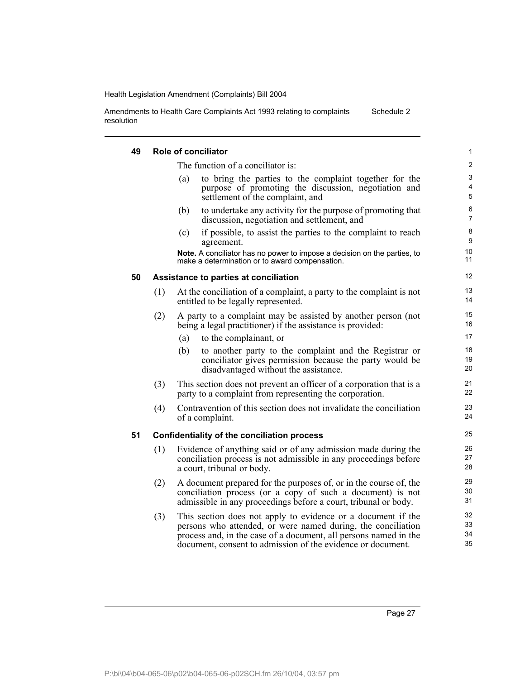Amendments to Health Care Complaints Act 1993 relating to complaints resolution Schedule 2

#### **49 Role of conciliator**

The function of a conciliator is:

- (a) to bring the parties to the complaint together for the purpose of promoting the discussion, negotiation and settlement of the complaint, and
- (b) to undertake any activity for the purpose of promoting that discussion, negotiation and settlement, and
- (c) if possible, to assist the parties to the complaint to reach agreement.

**Note.** A conciliator has no power to impose a decision on the parties, to make a determination or to award compensation.

#### **50 Assistance to parties at conciliation**

- (1) At the conciliation of a complaint, a party to the complaint is not entitled to be legally represented.
- (2) A party to a complaint may be assisted by another person (not being a legal practitioner) if the assistance is provided:
	- (a) to the complainant, or
	- (b) to another party to the complaint and the Registrar or conciliator gives permission because the party would be disadvantaged without the assistance.
- (3) This section does not prevent an officer of a corporation that is a party to a complaint from representing the corporation.
- (4) Contravention of this section does not invalidate the conciliation of a complaint.

#### **51 Confidentiality of the conciliation process**

- (1) Evidence of anything said or of any admission made during the conciliation process is not admissible in any proceedings before a court, tribunal or body.
- (2) A document prepared for the purposes of, or in the course of, the conciliation process (or a copy of such a document) is not admissible in any proceedings before a court, tribunal or body.
- (3) This section does not apply to evidence or a document if the persons who attended, or were named during, the conciliation process and, in the case of a document, all persons named in the document, consent to admission of the evidence or document.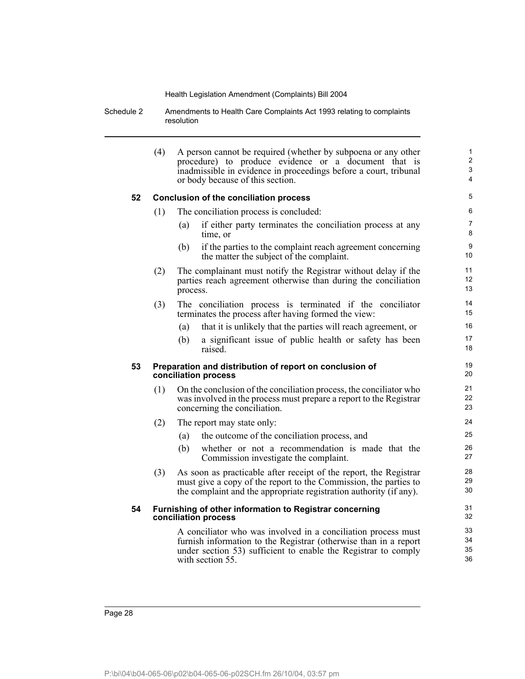Schedule 2 Amendments to Health Care Complaints Act 1993 relating to complaints resolution

|    | (4) | A person cannot be required (whether by subpoena or any other<br>procedure) to produce evidence or a document that is<br>inadmissible in evidence in proceedings before a court, tribunal<br>or body because of this section. | 1<br>$\overline{2}$<br>$\ensuremath{\mathsf{3}}$<br>4 |
|----|-----|-------------------------------------------------------------------------------------------------------------------------------------------------------------------------------------------------------------------------------|-------------------------------------------------------|
| 52 |     | <b>Conclusion of the conciliation process</b>                                                                                                                                                                                 | 5                                                     |
|    | (1) | The conciliation process is concluded:                                                                                                                                                                                        | 6                                                     |
|    |     | if either party terminates the conciliation process at any<br>(a)<br>time, or                                                                                                                                                 | $\overline{7}$<br>8                                   |
|    |     | if the parties to the complaint reach agreement concerning<br>(b)<br>the matter the subject of the complaint.                                                                                                                 | 9<br>10                                               |
|    | (2) | The complainant must notify the Registrar without delay if the<br>parties reach agreement otherwise than during the conciliation<br>process.                                                                                  | 11<br>12<br>13                                        |
|    | (3) | The conciliation process is terminated if the conciliator<br>terminates the process after having formed the view:                                                                                                             | 14<br>15                                              |
|    |     | that it is unlikely that the parties will reach agreement, or<br>(a)                                                                                                                                                          | 16                                                    |
|    |     | a significant issue of public health or safety has been<br>(b)<br>raised.                                                                                                                                                     | 17<br>18                                              |
| 53 |     | Preparation and distribution of report on conclusion of<br>conciliation process                                                                                                                                               | 19<br>20                                              |
|    | (1) | On the conclusion of the conciliation process, the conciliator who<br>was involved in the process must prepare a report to the Registrar<br>concerning the conciliation.                                                      | 21<br>22<br>23                                        |
|    | (2) | The report may state only:                                                                                                                                                                                                    | 24                                                    |
|    |     | the outcome of the conciliation process, and<br>(a)                                                                                                                                                                           | 25                                                    |
|    |     | whether or not a recommendation is made that the<br>(b)<br>Commission investigate the complaint.                                                                                                                              | 26<br>27                                              |
|    | (3) | As soon as practicable after receipt of the report, the Registrar<br>must give a copy of the report to the Commission, the parties to<br>the complaint and the appropriate registration authority (if any).                   | 28<br>29<br>30                                        |
| 54 |     | Furnishing of other information to Registrar concerning<br>conciliation process                                                                                                                                               | 31<br>32                                              |
|    |     | A conciliator who was involved in a conciliation process must<br>furnish information to the Registrar (otherwise than in a report<br>under section 53) sufficient to enable the Registrar to comply<br>with section 55.       | 33<br>34<br>35<br>36                                  |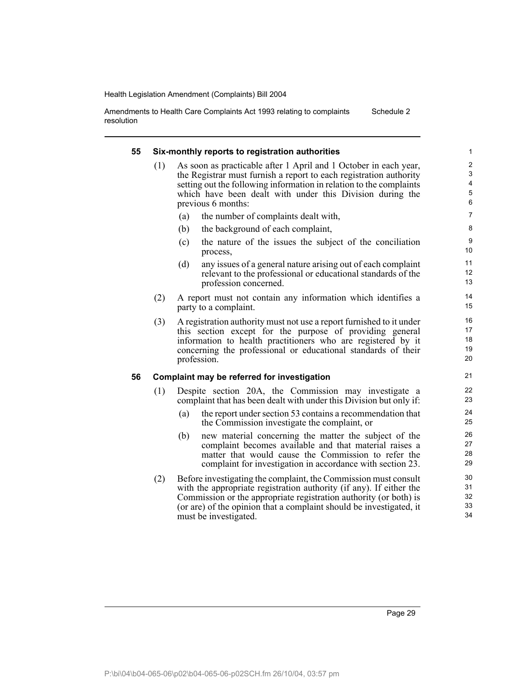Amendments to Health Care Complaints Act 1993 relating to complaints resolution Schedule 2

#### **55 Six-monthly reports to registration authorities**

- (1) As soon as practicable after 1 April and 1 October in each year, the Registrar must furnish a report to each registration authority setting out the following information in relation to the complaints which have been dealt with under this Division during the previous 6 months:
	- (a) the number of complaints dealt with,
	- (b) the background of each complaint,
	- (c) the nature of the issues the subject of the conciliation process,
	- (d) any issues of a general nature arising out of each complaint relevant to the professional or educational standards of the profession concerned.
- (2) A report must not contain any information which identifies a party to a complaint.
- (3) A registration authority must not use a report furnished to it under this section except for the purpose of providing general information to health practitioners who are registered by it concerning the professional or educational standards of their profession.

#### **56 Complaint may be referred for investigation**

- (1) Despite section 20A, the Commission may investigate a complaint that has been dealt with under this Division but only if:
	- (a) the report under section 53 contains a recommendation that the Commission investigate the complaint, or
	- (b) new material concerning the matter the subject of the complaint becomes available and that material raises a matter that would cause the Commission to refer the complaint for investigation in accordance with section 23.
- (2) Before investigating the complaint, the Commission must consult with the appropriate registration authority (if any). If either the Commission or the appropriate registration authority (or both) is (or are) of the opinion that a complaint should be investigated, it must be investigated.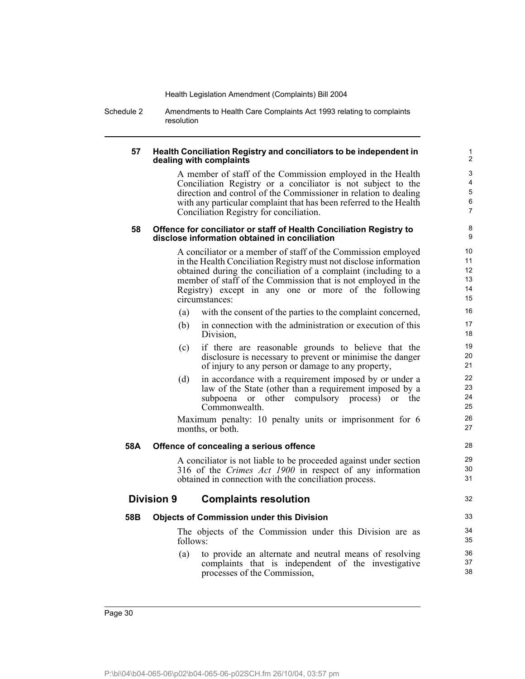Schedule 2 Amendments to Health Care Complaints Act 1993 relating to complaints resolution

#### **57 Health Conciliation Registry and conciliators to be independent in dealing with complaints**

A member of staff of the Commission employed in the Health Conciliation Registry or a conciliator is not subject to the direction and control of the Commissioner in relation to dealing with any particular complaint that has been referred to the Health Conciliation Registry for conciliation.

32

#### **58 Offence for conciliator or staff of Health Conciliation Registry to disclose information obtained in conciliation**

A conciliator or a member of staff of the Commission employed in the Health Conciliation Registry must not disclose information obtained during the conciliation of a complaint (including to a member of staff of the Commission that is not employed in the Registry) except in any one or more of the following circumstances:

- (a) with the consent of the parties to the complaint concerned,
- (b) in connection with the administration or execution of this Division,
- (c) if there are reasonable grounds to believe that the disclosure is necessary to prevent or minimise the danger of injury to any person or damage to any property,
- (d) in accordance with a requirement imposed by or under a law of the State (other than a requirement imposed by a subpoena or other compulsory process) or the Commonwealth.

Maximum penalty: 10 penalty units or imprisonment for 6 months, or both.

#### **58A Offence of concealing a serious offence**

A conciliator is not liable to be proceeded against under section 316 of the *Crimes Act 1900* in respect of any information obtained in connection with the conciliation process.

#### **Division 9 Complaints resolution**

#### **58B Objects of Commission under this Division**

The objects of the Commission under this Division are as follows:

(a) to provide an alternate and neutral means of resolving complaints that is independent of the investigative processes of the Commission,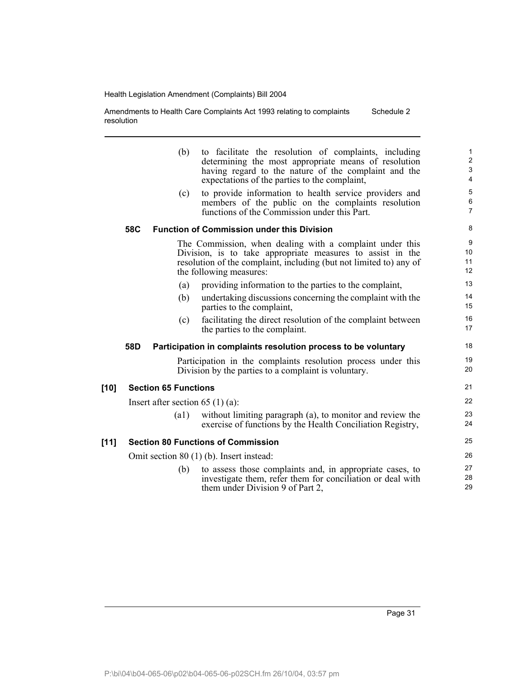$[10]$ 

Amendments to Health Care Complaints Act 1993 relating to complaints resolution Schedule 2

|     | (b)<br>(c)         | to facilitate the resolution of complaints, including<br>determining the most appropriate means of resolution<br>having regard to the nature of the complaint and the<br>expectations of the parties to the complaint,<br>to provide information to health service providers and<br>members of the public on the complaints resolution<br>functions of the Commission under this Part. | $\mathbf{1}$<br>$\overline{c}$<br>$\mathbf{3}$<br>$\overline{4}$<br>$\overline{5}$<br>6<br>$\overline{7}$                                                                                                                                                                                                                                                                                                                                                                                                                                                                                                                           |
|-----|--------------------|----------------------------------------------------------------------------------------------------------------------------------------------------------------------------------------------------------------------------------------------------------------------------------------------------------------------------------------------------------------------------------------|-------------------------------------------------------------------------------------------------------------------------------------------------------------------------------------------------------------------------------------------------------------------------------------------------------------------------------------------------------------------------------------------------------------------------------------------------------------------------------------------------------------------------------------------------------------------------------------------------------------------------------------|
| 58C |                    |                                                                                                                                                                                                                                                                                                                                                                                        | 8                                                                                                                                                                                                                                                                                                                                                                                                                                                                                                                                                                                                                                   |
|     |                    |                                                                                                                                                                                                                                                                                                                                                                                        | 9<br>10 <sup>1</sup><br>11<br>12                                                                                                                                                                                                                                                                                                                                                                                                                                                                                                                                                                                                    |
|     | (a)                | providing information to the parties to the complaint,                                                                                                                                                                                                                                                                                                                                 | 13                                                                                                                                                                                                                                                                                                                                                                                                                                                                                                                                                                                                                                  |
|     | (b)                | undertaking discussions concerning the complaint with the<br>parties to the complaint,                                                                                                                                                                                                                                                                                                 | 14<br>15                                                                                                                                                                                                                                                                                                                                                                                                                                                                                                                                                                                                                            |
|     | (c)                | facilitating the direct resolution of the complaint between<br>the parties to the complaint.                                                                                                                                                                                                                                                                                           | 16<br>17                                                                                                                                                                                                                                                                                                                                                                                                                                                                                                                                                                                                                            |
| 58D |                    |                                                                                                                                                                                                                                                                                                                                                                                        | 18                                                                                                                                                                                                                                                                                                                                                                                                                                                                                                                                                                                                                                  |
|     |                    |                                                                                                                                                                                                                                                                                                                                                                                        | 19<br>20                                                                                                                                                                                                                                                                                                                                                                                                                                                                                                                                                                                                                            |
|     |                    |                                                                                                                                                                                                                                                                                                                                                                                        | 21                                                                                                                                                                                                                                                                                                                                                                                                                                                                                                                                                                                                                                  |
|     |                    |                                                                                                                                                                                                                                                                                                                                                                                        | 22                                                                                                                                                                                                                                                                                                                                                                                                                                                                                                                                                                                                                                  |
|     | $\left( a1\right)$ | without limiting paragraph (a), to monitor and review the<br>exercise of functions by the Health Conciliation Registry,                                                                                                                                                                                                                                                                | 23<br>24                                                                                                                                                                                                                                                                                                                                                                                                                                                                                                                                                                                                                            |
|     |                    |                                                                                                                                                                                                                                                                                                                                                                                        | 25                                                                                                                                                                                                                                                                                                                                                                                                                                                                                                                                                                                                                                  |
|     |                    |                                                                                                                                                                                                                                                                                                                                                                                        | 26                                                                                                                                                                                                                                                                                                                                                                                                                                                                                                                                                                                                                                  |
|     | (b)                | to assess those complaints and, in appropriate cases, to<br>investigate them, refer them for conciliation or deal with<br>them under Division 9 of Part 2,                                                                                                                                                                                                                             | 27<br>28<br>29                                                                                                                                                                                                                                                                                                                                                                                                                                                                                                                                                                                                                      |
|     |                    |                                                                                                                                                                                                                                                                                                                                                                                        | <b>Function of Commission under this Division</b><br>The Commission, when dealing with a complaint under this<br>Division, is to take appropriate measures to assist in the<br>resolution of the complaint, including (but not limited to) any of<br>the following measures:<br>Participation in complaints resolution process to be voluntary<br>Participation in the complaints resolution process under this<br>Division by the parties to a complaint is voluntary.<br><b>Section 65 Functions</b><br>Insert after section 65 (1) (a):<br><b>Section 80 Functions of Commission</b><br>Omit section 80 (1) (b). Insert instead: |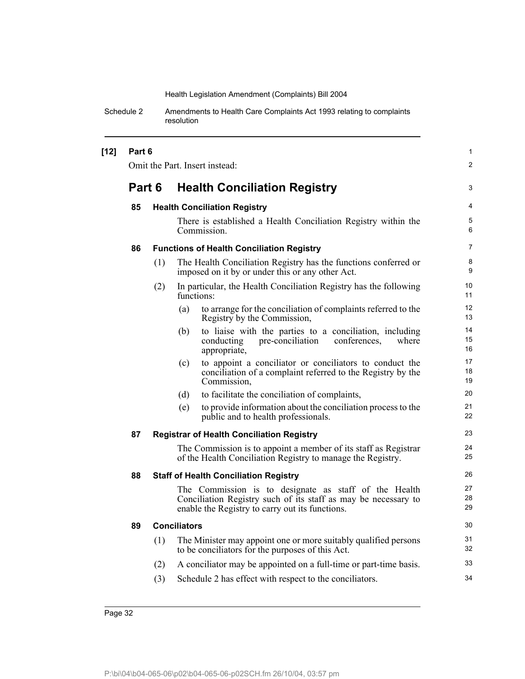| Schedule 2 | Amendments to Health Care Complaints Act 1993 relating to complaints |
|------------|----------------------------------------------------------------------|
|            | resolution                                                           |

#### **[12] Part 6**

Omit the Part. Insert instead:

### **Part 6 Health Conciliation Registry**

#### **85 Health Conciliation Registry**

There is established a Health Conciliation Registry within the Commission.

1  $\mathfrak{p}$ 

3

4 5 6

#### **86 Functions of Health Conciliation Registry**

- (1) The Health Conciliation Registry has the functions conferred or imposed on it by or under this or any other Act.
- (2) In particular, the Health Conciliation Registry has the following functions:
	- (a) to arrange for the conciliation of complaints referred to the Registry by the Commission,
	- (b) to liaise with the parties to a conciliation, including conducting pre-conciliation conferences, where appropriate,
	- (c) to appoint a conciliator or conciliators to conduct the conciliation of a complaint referred to the Registry by the Commission,
	- (d) to facilitate the conciliation of complaints,
	- (e) to provide information about the conciliation process to the public and to health professionals.

#### **87 Registrar of Health Conciliation Registry**

The Commission is to appoint a member of its staff as Registrar of the Health Conciliation Registry to manage the Registry.

## **88 Staff of Health Conciliation Registry**

The Commission is to designate as staff of the Health Conciliation Registry such of its staff as may be necessary to enable the Registry to carry out its functions.

#### **89 Conciliators**

- (1) The Minister may appoint one or more suitably qualified persons to be conciliators for the purposes of this Act.
- (2) A conciliator may be appointed on a full-time or part-time basis.
- (3) Schedule 2 has effect with respect to the conciliators.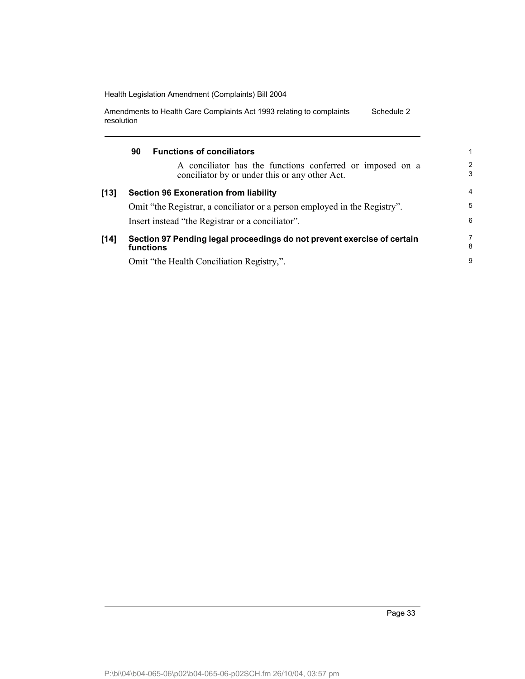| Amendments to Health Care Complaints Act 1993 relating to complaints | Schedule 2 |
|----------------------------------------------------------------------|------------|
| resolution                                                           |            |
|                                                                      |            |

|      | <b>Functions of conciliators</b><br>90                                                                      |               |
|------|-------------------------------------------------------------------------------------------------------------|---------------|
|      | A conciliator has the functions conferred or imposed on a<br>conciliator by or under this or any other Act. | $\frac{2}{3}$ |
| [13] | <b>Section 96 Exoneration from liability</b>                                                                | 4             |
|      | Omit "the Registrar, a conciliator or a person employed in the Registry".                                   | 5             |
|      | Insert instead "the Registrar or a conciliator".                                                            | 6             |
| [14] | Section 97 Pending legal proceedings do not prevent exercise of certain<br>functions                        | 7<br>8        |
|      | Omit "the Health Conciliation Registry,".                                                                   | 9             |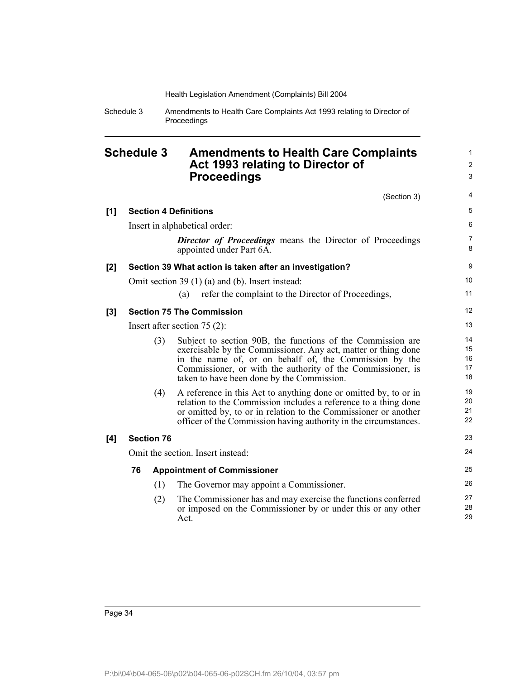Schedule 3 Amendments to Health Care Complaints Act 1993 relating to Director of Proceedings

## **Schedule 3 Amendments to Health Care Complaints Act 1993 relating to Director of Proceedings**

(Section 3)

1 2 3

4

| [1] | <b>Section 4 Definitions</b>      |                   |                                                                                                                                                                                                                                                                                                      |                            |  |
|-----|-----------------------------------|-------------------|------------------------------------------------------------------------------------------------------------------------------------------------------------------------------------------------------------------------------------------------------------------------------------------------------|----------------------------|--|
|     |                                   |                   | Insert in alphabetical order:                                                                                                                                                                                                                                                                        | 6                          |  |
|     |                                   |                   | <b>Director of Proceedings</b> means the Director of Proceedings<br>appointed under Part 6A.                                                                                                                                                                                                         | 7<br>8                     |  |
| [2] |                                   |                   | Section 39 What action is taken after an investigation?                                                                                                                                                                                                                                              | 9                          |  |
|     |                                   |                   | Omit section 39 $(1)$ $(a)$ and $(b)$ . Insert instead:                                                                                                                                                                                                                                              | 10                         |  |
|     |                                   |                   | refer the complaint to the Director of Proceedings,<br>(a)                                                                                                                                                                                                                                           | 11                         |  |
| [3] |                                   |                   | <b>Section 75 The Commission</b>                                                                                                                                                                                                                                                                     | 12                         |  |
|     | Insert after section $75(2)$ :    |                   |                                                                                                                                                                                                                                                                                                      |                            |  |
|     |                                   | (3)               | Subject to section 90B, the functions of the Commission are<br>exercisable by the Commissioner. Any act, matter or thing done<br>in the name of, or on behalf of, the Commission by the<br>Commissioner, or with the authority of the Commissioner, is<br>taken to have been done by the Commission. | 14<br>15<br>16<br>17<br>18 |  |
|     |                                   | (4)               | A reference in this Act to anything done or omitted by, to or in<br>relation to the Commission includes a reference to a thing done<br>or omitted by, to or in relation to the Commissioner or another<br>officer of the Commission having authority in the circumstances.                           | 19<br>20<br>21<br>22       |  |
| [4] |                                   | <b>Section 76</b> |                                                                                                                                                                                                                                                                                                      | 23                         |  |
|     | Omit the section. Insert instead: |                   |                                                                                                                                                                                                                                                                                                      |                            |  |
|     | 76                                |                   | <b>Appointment of Commissioner</b>                                                                                                                                                                                                                                                                   |                            |  |
|     |                                   | (1)               | The Governor may appoint a Commissioner.                                                                                                                                                                                                                                                             | 26                         |  |
|     |                                   | (2)               | The Commissioner has and may exercise the functions conferred<br>or imposed on the Commissioner by or under this or any other<br>Act.                                                                                                                                                                | 27<br>28<br>29             |  |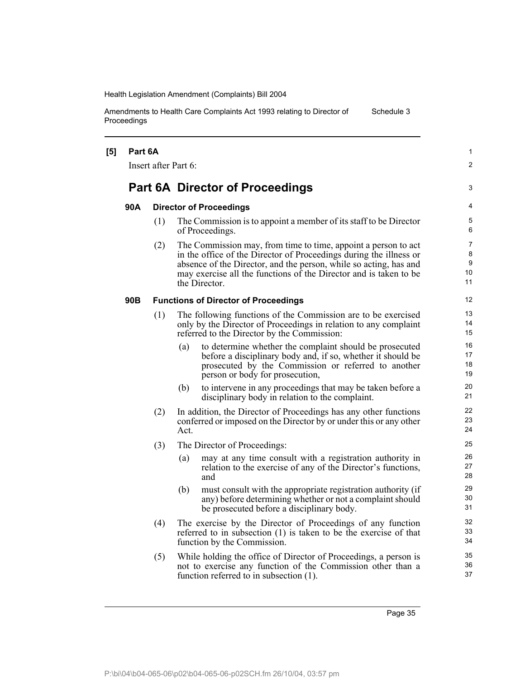Amendments to Health Care Complaints Act 1993 relating to Director of Proceedings Schedule 3

| [5] | Part 6A<br>Insert after Part 6: |     |                                |                                                                                                                                                                                                                                                                                                 |                         |  |
|-----|---------------------------------|-----|--------------------------------|-------------------------------------------------------------------------------------------------------------------------------------------------------------------------------------------------------------------------------------------------------------------------------------------------|-------------------------|--|
|     |                                 |     |                                | <b>Part 6A Director of Proceedings</b>                                                                                                                                                                                                                                                          | 3                       |  |
|     | 90A                             |     | <b>Director of Proceedings</b> |                                                                                                                                                                                                                                                                                                 |                         |  |
|     |                                 | (1) |                                | The Commission is to appoint a member of its staff to be Director<br>of Proceedings.                                                                                                                                                                                                            | 5<br>6                  |  |
|     |                                 | (2) |                                | The Commission may, from time to time, appoint a person to act<br>in the office of the Director of Proceedings during the illness or<br>absence of the Director, and the person, while so acting, has and<br>may exercise all the functions of the Director and is taken to be<br>the Director. | 7<br>8<br>9<br>10<br>11 |  |
|     | 90B                             |     |                                | <b>Functions of Director of Proceedings</b>                                                                                                                                                                                                                                                     | 12                      |  |
|     |                                 | (1) |                                | The following functions of the Commission are to be exercised<br>only by the Director of Proceedings in relation to any complaint<br>referred to the Director by the Commission:                                                                                                                | 13<br>14<br>15          |  |
|     |                                 |     | (a)                            | to determine whether the complaint should be prosecuted<br>before a disciplinary body and, if so, whether it should be<br>prosecuted by the Commission or referred to another<br>person or body for prosecution,                                                                                | 16<br>17<br>18<br>19    |  |
|     |                                 |     | (b)                            | to intervene in any proceedings that may be taken before a<br>disciplinary body in relation to the complaint.                                                                                                                                                                                   | 20<br>21                |  |
|     |                                 | (2) | Act.                           | In addition, the Director of Proceedings has any other functions<br>conferred or imposed on the Director by or under this or any other                                                                                                                                                          | 22<br>23<br>24          |  |
|     |                                 | (3) |                                | The Director of Proceedings:                                                                                                                                                                                                                                                                    | 25                      |  |
|     |                                 |     | (a)                            | may at any time consult with a registration authority in<br>relation to the exercise of any of the Director's functions,<br>and                                                                                                                                                                 | 26<br>27<br>28          |  |
|     |                                 |     | (b)                            | must consult with the appropriate registration authority (if<br>any) before determining whether or not a complaint should<br>be prosecuted before a disciplinary body.                                                                                                                          | 29<br>30<br>31          |  |
|     |                                 | (4) |                                | The exercise by the Director of Proceedings of any function<br>referred to in subsection $(1)$ is taken to be the exercise of that<br>function by the Commission.                                                                                                                               | 32<br>33<br>34          |  |
|     |                                 | (5) |                                | While holding the office of Director of Proceedings, a person is<br>not to exercise any function of the Commission other than a<br>function referred to in subsection (1).                                                                                                                      | 35<br>36<br>37          |  |

Page 35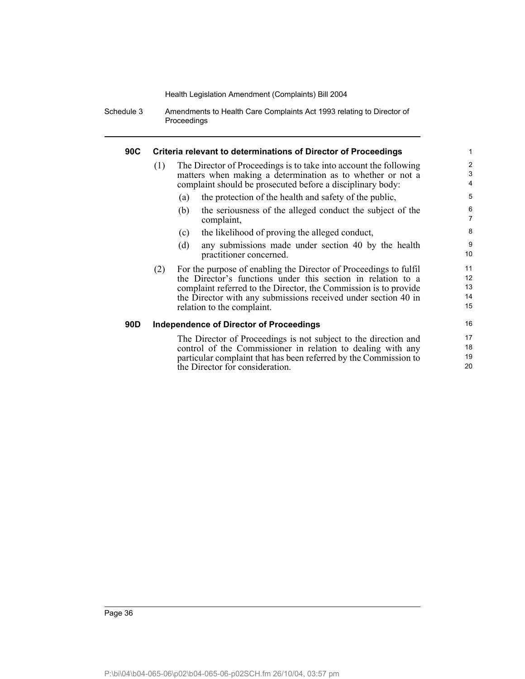Schedule 3 Amendments to Health Care Complaints Act 1993 relating to Director of Proceedings

| 90C | <b>Criteria relevant to determinations of Director of Proceedings</b> |                                                                                                                                                                                                                                                                                                       |                            |  |
|-----|-----------------------------------------------------------------------|-------------------------------------------------------------------------------------------------------------------------------------------------------------------------------------------------------------------------------------------------------------------------------------------------------|----------------------------|--|
|     | (1)                                                                   | The Director of Proceedings is to take into account the following<br>matters when making a determination as to whether or not a<br>complaint should be prosecuted before a disciplinary body:                                                                                                         | $\overline{c}$<br>3<br>4   |  |
|     |                                                                       | the protection of the health and safety of the public,<br>(a)                                                                                                                                                                                                                                         | 5                          |  |
|     |                                                                       | the seriousness of the alleged conduct the subject of the<br>(b)<br>complaint,                                                                                                                                                                                                                        | 6<br>$\overline{7}$        |  |
|     |                                                                       | the likelihood of proving the alleged conduct,<br>(c)                                                                                                                                                                                                                                                 | 8                          |  |
|     |                                                                       | (d)<br>any submissions made under section 40 by the health<br>practitioner concerned.                                                                                                                                                                                                                 | 9<br>10                    |  |
|     | (2)                                                                   | For the purpose of enabling the Director of Proceedings to fulfil<br>the Director's functions under this section in relation to a<br>complaint referred to the Director, the Commission is to provide<br>the Director with any submissions received under section 40 in<br>relation to the complaint. | 11<br>12<br>13<br>14<br>15 |  |
| 90D |                                                                       | <b>Independence of Director of Proceedings</b>                                                                                                                                                                                                                                                        | 16                         |  |
|     |                                                                       | The Director of Proceedings is not subject to the direction and<br>control of the Commissioner in relation to dealing with any<br>particular complaint that has been referred by the Commission to<br>the Director for consideration.                                                                 | 17<br>18<br>19<br>20       |  |
|     |                                                                       |                                                                                                                                                                                                                                                                                                       |                            |  |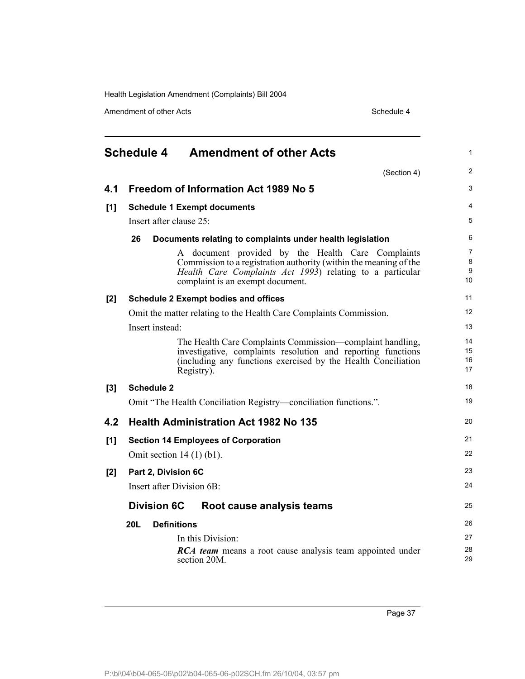Amendment of other Acts **Schedule 4** 

|       | <b>Schedule 4 Amendment of other Acts</b>                                                                                                                                                                               | 1                              |  |  |
|-------|-------------------------------------------------------------------------------------------------------------------------------------------------------------------------------------------------------------------------|--------------------------------|--|--|
|       | (Section 4)                                                                                                                                                                                                             | $\overline{2}$                 |  |  |
| 4.1   | Freedom of Information Act 1989 No 5                                                                                                                                                                                    | 3                              |  |  |
| [1]   | <b>Schedule 1 Exempt documents</b><br>Insert after clause 25:                                                                                                                                                           | 4<br>5                         |  |  |
|       | 26<br>Documents relating to complaints under health legislation                                                                                                                                                         | 6                              |  |  |
|       | A document provided by the Health Care Complaints<br>Commission to a registration authority (within the meaning of the<br>Health Care Complaints Act 1993) relating to a particular<br>complaint is an exempt document. | $\overline{7}$<br>8<br>9<br>10 |  |  |
| $[2]$ | <b>Schedule 2 Exempt bodies and offices</b>                                                                                                                                                                             | 11                             |  |  |
|       | Omit the matter relating to the Health Care Complaints Commission.                                                                                                                                                      | 12                             |  |  |
|       | Insert instead:                                                                                                                                                                                                         | 13                             |  |  |
|       | The Health Care Complaints Commission—complaint handling,<br>investigative, complaints resolution and reporting functions<br>(including any functions exercised by the Health Conciliation<br>Registry).                | 14<br>15<br>16<br>17           |  |  |
| $[3]$ | <b>Schedule 2</b>                                                                                                                                                                                                       | 18                             |  |  |
|       | Omit "The Health Conciliation Registry—conciliation functions.".                                                                                                                                                        | 19                             |  |  |
| 4.2   | <b>Health Administration Act 1982 No 135</b>                                                                                                                                                                            | 20                             |  |  |
| [1]   | <b>Section 14 Employees of Corporation</b>                                                                                                                                                                              | 21                             |  |  |
|       | Omit section $14(1)(b1)$ .                                                                                                                                                                                              |                                |  |  |
| $[2]$ | Part 2, Division 6C<br>Insert after Division 6B:                                                                                                                                                                        | 23<br>24                       |  |  |
|       | <b>Division 6C</b><br>Root cause analysis teams                                                                                                                                                                         | 25                             |  |  |
|       | 20L<br><b>Definitions</b>                                                                                                                                                                                               | 26                             |  |  |
|       | In this Division:                                                                                                                                                                                                       | 27                             |  |  |
|       | <b>RCA</b> team means a root cause analysis team appointed under<br>section 20M.                                                                                                                                        | 28<br>29                       |  |  |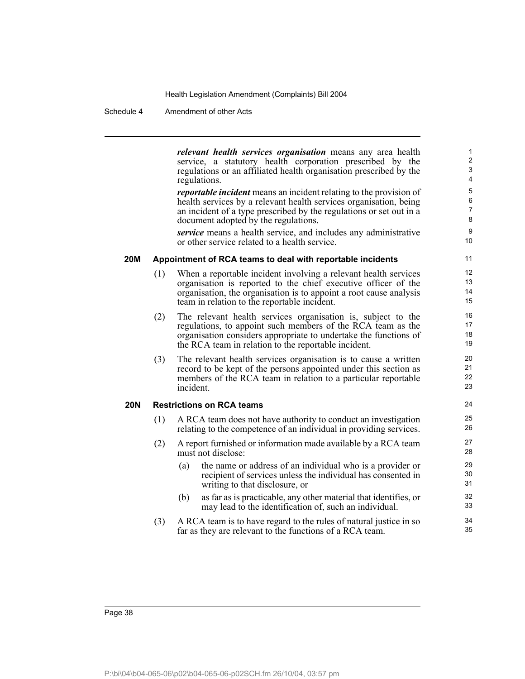Schedule 4 Amendment of other Acts

*relevant health services organisation* means any area health service, a statutory health corporation prescribed by the regulations or an affiliated health organisation prescribed by the regulations. *reportable incident* means an incident relating to the provision of health services by a relevant health services organisation, being an incident of a type prescribed by the regulations or set out in a document adopted by the regulations. *service* means a health service, and includes any administrative or other service related to a health service. **20M Appointment of RCA teams to deal with reportable incidents** (1) When a reportable incident involving a relevant health services organisation is reported to the chief executive officer of the organisation, the organisation is to appoint a root cause analysis team in relation to the reportable incident. (2) The relevant health services organisation is, subject to the regulations, to appoint such members of the RCA team as the organisation considers appropriate to undertake the functions of the RCA team in relation to the reportable incident. (3) The relevant health services organisation is to cause a written record to be kept of the persons appointed under this section as members of the RCA team in relation to a particular reportable incident. **20N Restrictions on RCA teams** (1) A RCA team does not have authority to conduct an investigation relating to the competence of an individual in providing services. (2) A report furnished or information made available by a RCA team must not disclose: (a) the name or address of an individual who is a provider or recipient of services unless the individual has consented in writing to that disclosure, or (b) as far as is practicable, any other material that identifies, or may lead to the identification of, such an individual. (3) A RCA team is to have regard to the rules of natural justice in so far as they are relevant to the functions of a RCA team. 1  $\mathfrak{p}$ 3 4 5 6 7 8 9 10 11 12 13 14 15 16 17 18 19 20 21 22 23  $24$ 25 26 27 28 29 30 31 32 33 34 35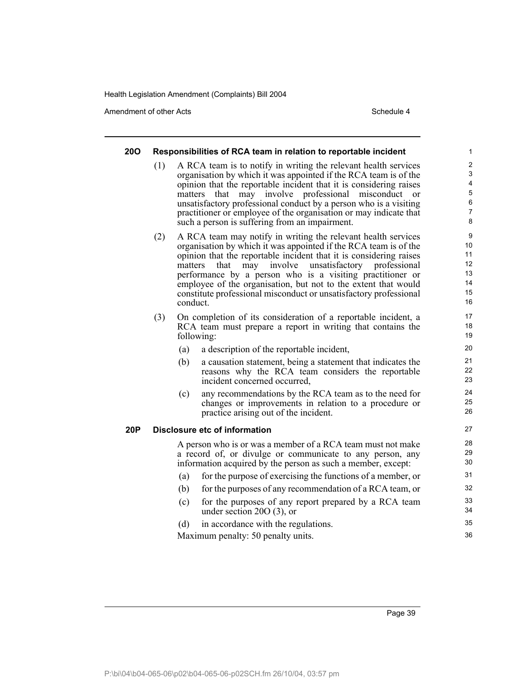Amendment of other Acts **Schedule 4** and the set of the set of the Schedule 4

#### **20O Responsibilities of RCA team in relation to reportable incident**

- (1) A RCA team is to notify in writing the relevant health services organisation by which it was appointed if the RCA team is of the opinion that the reportable incident that it is considering raises matters that may involve professional misconduct or unsatisfactory professional conduct by a person who is a visiting practitioner or employee of the organisation or may indicate that such a person is suffering from an impairment.
- (2) A RCA team may notify in writing the relevant health services organisation by which it was appointed if the RCA team is of the opinion that the reportable incident that it is considering raises matters that may involve unsatisfactory professional performance by a person who is a visiting practitioner or employee of the organisation, but not to the extent that would constitute professional misconduct or unsatisfactory professional conduct.
- (3) On completion of its consideration of a reportable incident, a RCA team must prepare a report in writing that contains the following:
	- (a) a description of the reportable incident,
	- (b) a causation statement, being a statement that indicates the reasons why the RCA team considers the reportable incident concerned occurred,
	- (c) any recommendations by the RCA team as to the need for changes or improvements in relation to a procedure or practice arising out of the incident.

#### **20P Disclosure etc of information**

A person who is or was a member of a RCA team must not make a record of, or divulge or communicate to any person, any information acquired by the person as such a member, except:

- (a) for the purpose of exercising the functions of a member, or
- (b) for the purposes of any recommendation of a RCA team, or
- (c) for the purposes of any report prepared by a RCA team under section 20O (3), or
- (d) in accordance with the regulations.

Maximum penalty: 50 penalty units.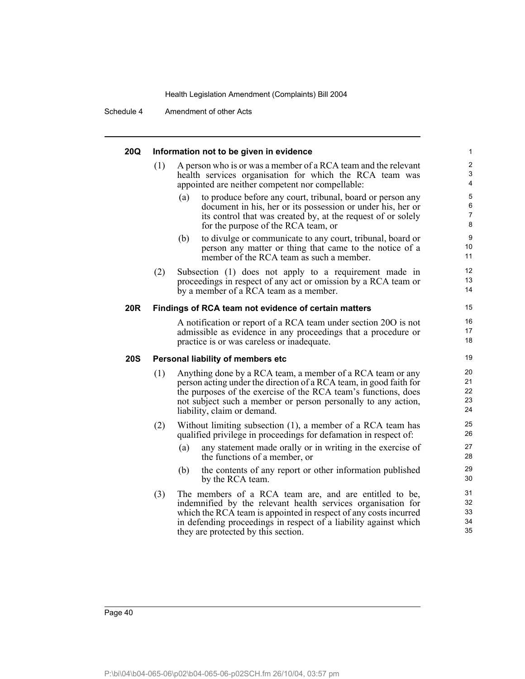Schedule 4 Amendment of other Acts

| <b>20Q</b> |     | Information not to be given in evidence                                                                                                                                                                                                                                                               | $\mathbf{1}$                                              |
|------------|-----|-------------------------------------------------------------------------------------------------------------------------------------------------------------------------------------------------------------------------------------------------------------------------------------------------------|-----------------------------------------------------------|
|            | (1) | A person who is or was a member of a RCA team and the relevant<br>health services organisation for which the RCA team was<br>appointed are neither competent nor compellable:                                                                                                                         | $\overline{c}$<br>$\mathbf{3}$<br>$\overline{\mathbf{4}}$ |
|            |     | to produce before any court, tribunal, board or person any<br>(a)<br>document in his, her or its possession or under his, her or<br>its control that was created by, at the request of or solely<br>for the purpose of the RCA team, or                                                               | 5<br>6<br>$\overline{7}$<br>8                             |
|            |     | to divulge or communicate to any court, tribunal, board or<br>(b)<br>person any matter or thing that came to the notice of a<br>member of the RCA team as such a member.                                                                                                                              | 9<br>10<br>11                                             |
|            | (2) | Subsection (1) does not apply to a requirement made in<br>proceedings in respect of any act or omission by a RCA team or<br>by a member of a RCA team as a member.                                                                                                                                    | 12<br>13<br>14                                            |
| <b>20R</b> |     | Findings of RCA team not evidence of certain matters                                                                                                                                                                                                                                                  | 15                                                        |
|            |     | A notification or report of a RCA team under section 200 is not<br>admissible as evidence in any proceedings that a procedure or<br>practice is or was careless or inadequate.                                                                                                                        | 16<br>17<br>18                                            |
| <b>20S</b> |     | Personal liability of members etc                                                                                                                                                                                                                                                                     | 19                                                        |
|            | (1) | Anything done by a RCA team, a member of a RCA team or any<br>person acting under the direction of a RCA team, in good faith for<br>the purposes of the exercise of the RCA team's functions, does<br>not subject such a member or person personally to any action,<br>liability, claim or demand.    | 20<br>21<br>22<br>23<br>24                                |
|            | (2) | Without limiting subsection (1), a member of a RCA team has<br>qualified privilege in proceedings for defamation in respect of:                                                                                                                                                                       | 25<br>26                                                  |
|            |     | any statement made orally or in writing in the exercise of<br>(a)<br>the functions of a member, or                                                                                                                                                                                                    | 27<br>28                                                  |
|            |     | the contents of any report or other information published<br>(b)<br>by the RCA team.                                                                                                                                                                                                                  | 29<br>30                                                  |
|            | (3) | The members of a RCA team are, and are entitled to be,<br>indemnified by the relevant health services organisation for<br>which the RCA team is appointed in respect of any costs incurred<br>in defending proceedings in respect of a liability against which<br>they are protected by this section. | 31<br>32<br>33<br>34<br>35                                |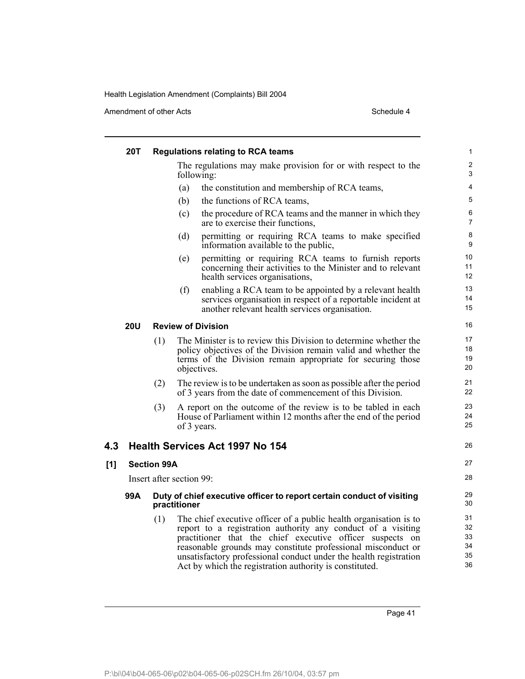Amendment of other Acts **Schedule 4** 

|     | <b>20T</b>               |                    | <b>Regulations relating to RCA teams</b>                                                                                                                                                                                                                                                                                                                                                       | 1                                |  |
|-----|--------------------------|--------------------|------------------------------------------------------------------------------------------------------------------------------------------------------------------------------------------------------------------------------------------------------------------------------------------------------------------------------------------------------------------------------------------------|----------------------------------|--|
|     |                          |                    | The regulations may make provision for or with respect to the<br>following:                                                                                                                                                                                                                                                                                                                    | $\overline{c}$<br>3              |  |
|     |                          |                    | the constitution and membership of RCA teams,<br>(a)                                                                                                                                                                                                                                                                                                                                           | 4                                |  |
|     |                          |                    | the functions of RCA teams,<br>(b)                                                                                                                                                                                                                                                                                                                                                             | 5                                |  |
|     |                          |                    | (c)<br>the procedure of RCA teams and the manner in which they<br>are to exercise their functions,                                                                                                                                                                                                                                                                                             | 6<br>7                           |  |
|     |                          |                    | (d)<br>permitting or requiring RCA teams to make specified<br>information available to the public,                                                                                                                                                                                                                                                                                             | 8<br>9                           |  |
|     |                          |                    | permitting or requiring RCA teams to furnish reports<br>(e)<br>concerning their activities to the Minister and to relevant<br>health services organisations,                                                                                                                                                                                                                                   | 10<br>11<br>12                   |  |
|     |                          |                    | (f)<br>enabling a RCA team to be appointed by a relevant health<br>services organisation in respect of a reportable incident at<br>another relevant health services organisation.                                                                                                                                                                                                              | 13<br>14<br>15                   |  |
|     | <b>20U</b>               |                    | <b>Review of Division</b>                                                                                                                                                                                                                                                                                                                                                                      | 16                               |  |
|     |                          | (1)                | The Minister is to review this Division to determine whether the<br>policy objectives of the Division remain valid and whether the<br>terms of the Division remain appropriate for securing those<br>objectives.                                                                                                                                                                               | 17<br>18<br>19<br>20             |  |
|     |                          | (2)                | The review is to be undertaken as soon as possible after the period<br>of 3 years from the date of commencement of this Division.                                                                                                                                                                                                                                                              | 21<br>22                         |  |
|     |                          | (3)                | A report on the outcome of the review is to be tabled in each<br>House of Parliament within 12 months after the end of the period<br>of 3 years.                                                                                                                                                                                                                                               | 23<br>24<br>25                   |  |
| 4.3 |                          |                    | <b>Health Services Act 1997 No 154</b>                                                                                                                                                                                                                                                                                                                                                         | 26                               |  |
| [1] |                          | <b>Section 99A</b> |                                                                                                                                                                                                                                                                                                                                                                                                | 27                               |  |
|     | Insert after section 99: |                    |                                                                                                                                                                                                                                                                                                                                                                                                |                                  |  |
|     | 99A                      |                    | Duty of chief executive officer to report certain conduct of visiting<br>practitioner                                                                                                                                                                                                                                                                                                          | 29<br>30                         |  |
|     |                          | (1)                | The chief executive officer of a public health organisation is to<br>report to a registration authority any conduct of a visiting<br>practitioner that the chief executive officer suspects on<br>reasonable grounds may constitute professional misconduct or<br>unsatisfactory professional conduct under the health registration<br>Act by which the registration authority is constituted. | 31<br>32<br>33<br>34<br>35<br>36 |  |

Page 41